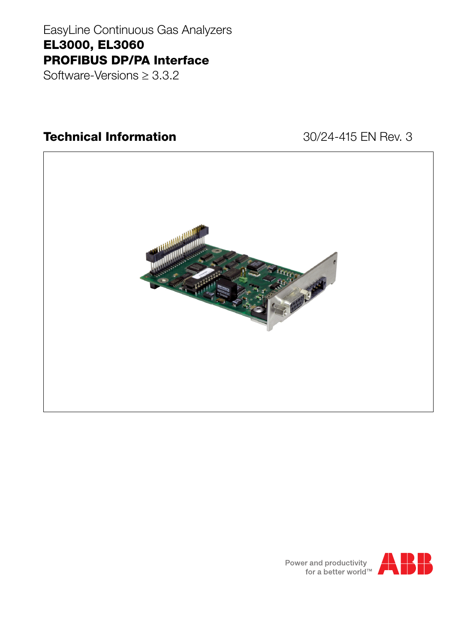# EasyLine Continuous Gas Analyzers **EL3000, EL3060 PROFIBUS DP/PA Interface**

Software-Versions  $\geq 3.3.2$ 

## **Technical Information**

### 30/24-415 EN Rev. 3



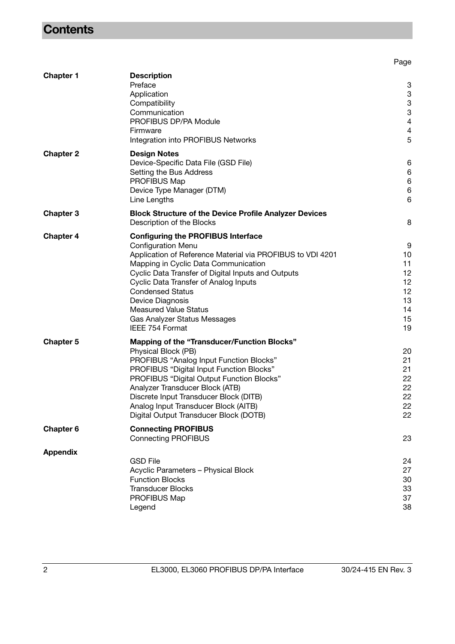## **Contents**

|                  |                                                                                                    | Page                      |
|------------------|----------------------------------------------------------------------------------------------------|---------------------------|
| <b>Chapter 1</b> | <b>Description</b>                                                                                 |                           |
|                  | Preface                                                                                            | 3                         |
|                  | Application                                                                                        | 3                         |
|                  | Compatibility                                                                                      | 3                         |
|                  | Communication                                                                                      | $\ensuremath{\mathsf{3}}$ |
|                  | PROFIBUS DP/PA Module                                                                              | 4                         |
|                  | Firmware                                                                                           | 4                         |
|                  | Integration into PROFIBUS Networks                                                                 | 5                         |
| <b>Chapter 2</b> | <b>Design Notes</b>                                                                                |                           |
|                  | Device-Specific Data File (GSD File)                                                               | 6                         |
|                  | Setting the Bus Address                                                                            | 6                         |
|                  | PROFIBUS Map                                                                                       | 6                         |
|                  | Device Type Manager (DTM)                                                                          | 6                         |
|                  | Line Lengths                                                                                       | 6                         |
| <b>Chapter 3</b> | <b>Block Structure of the Device Profile Analyzer Devices</b><br>Description of the Blocks         | 8                         |
|                  |                                                                                                    |                           |
| <b>Chapter 4</b> | <b>Configuring the PROFIBUS Interface</b>                                                          |                           |
|                  | <b>Configuration Menu</b>                                                                          | 9                         |
|                  | Application of Reference Material via PROFIBUS to VDI 4201<br>Mapping in Cyclic Data Communication | 10<br>11                  |
|                  | Cyclic Data Transfer of Digital Inputs and Outputs                                                 | 12                        |
|                  | Cyclic Data Transfer of Analog Inputs                                                              | 12                        |
|                  | <b>Condensed Status</b>                                                                            | 12                        |
|                  | Device Diagnosis                                                                                   | 13                        |
|                  | <b>Measured Value Status</b>                                                                       | 14                        |
|                  | Gas Analyzer Status Messages                                                                       | 15                        |
|                  | IEEE 754 Format                                                                                    | 19                        |
| <b>Chapter 5</b> | <b>Mapping of the "Transducer/Function Blocks"</b>                                                 |                           |
|                  | Physical Block (PB)                                                                                | 20                        |
|                  | PROFIBUS "Analog Input Function Blocks"                                                            | 21                        |
|                  | PROFIBUS "Digital Input Function Blocks"                                                           | 21                        |
|                  | PROFIBUS "Digital Output Function Blocks"                                                          | 22                        |
|                  | Analyzer Transducer Block (ATB)                                                                    | 22                        |
|                  | Discrete Input Transducer Block (DITB)                                                             | 22                        |
|                  | Analog Input Transducer Block (AITB)                                                               | 22                        |
|                  | Digital Output Transducer Block (DOTB)                                                             | 22                        |
| <b>Chapter 6</b> | <b>Connecting PROFIBUS</b>                                                                         |                           |
|                  | <b>Connecting PROFIBUS</b>                                                                         | 23                        |
| <b>Appendix</b>  | <b>GSD File</b>                                                                                    |                           |
|                  |                                                                                                    | 24                        |
|                  | Acyclic Parameters - Physical Block<br><b>Function Blocks</b>                                      | 27<br>30                  |
|                  | <b>Transducer Blocks</b>                                                                           | 33                        |
|                  | PROFIBUS Map                                                                                       | 37                        |
|                  | Legend                                                                                             | 38                        |
|                  |                                                                                                    |                           |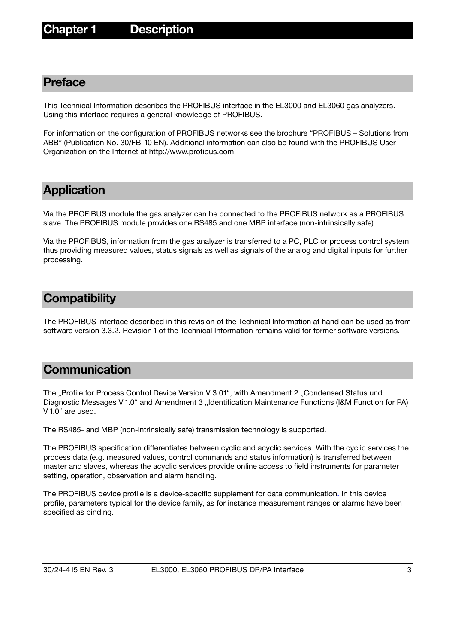### <span id="page-2-0"></span>**Preface**

This Technical Information describes the PROFIBUS interface in the EL3000 and EL3060 gas analyzers. Using this interface requires a general knowledge of PROFIBUS.

For information on the configuration of PROFIBUS networks see the brochure "PROFIBUS – Solutions from ABB" (Publication No. 30/FB-10 EN). Additional information can also be found with the PROFIBUS User Organization on the Internet at http://www.profibus.com.

### <span id="page-2-1"></span>**Application**

Via the PROFIBUS module the gas analyzer can be connected to the PROFIBUS network as a PROFIBUS slave. The PROFIBUS module provides one RS485 and one MBP interface (non-intrinsically safe).

Via the PROFIBUS, information from the gas analyzer is transferred to a PC, PLC or process control system, thus providing measured values, status signals as well as signals of the analog and digital inputs for further processing.

### <span id="page-2-2"></span>**Compatibility**

The PROFIBUS interface described in this revision of the Technical Information at hand can be used as from software version 3.3.2. Revision 1 of the Technical Information remains valid for former software versions.

### <span id="page-2-3"></span>**Communication**

The "Profile for Process Control Device Version V 3.01", with Amendment 2 "Condensed Status und Diagnostic Messages V 1.0" and Amendment 3 "Identification Maintenance Functions (I&M Function for PA) V 1.0" are used.

The RS485- and MBP (non-intrinsically safe) transmission technology is supported.

The PROFIBUS specification differentiates between cyclic and acyclic services. With the cyclic services the process data (e.g. measured values, control commands and status information) is transferred between master and slaves, whereas the acyclic services provide online access to field instruments for parameter setting, operation, observation and alarm handling.

The PROFIBUS device profile is a device-specific supplement for data communication. In this device profile, parameters typical for the device family, as for instance measurement ranges or alarms have been specified as binding.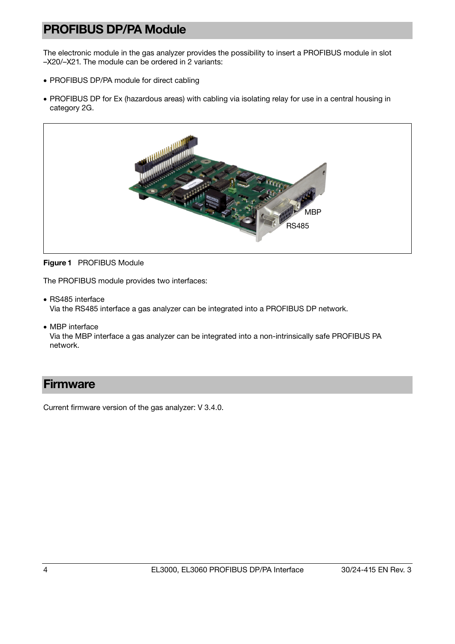## <span id="page-3-0"></span>**PROFIBUS DP/PA Module**

The electronic module in the gas analyzer provides the possibility to insert a PROFIBUS module in slot –X20/–X21. The module can be ordered in 2 variants:

- PROFIBUS DP/PA module for direct cabling
- PROFIBUS DP for Ex (hazardous areas) with cabling via isolating relay for use in a central housing in category 2G.





The PROFIBUS module provides two interfaces:

• RS485 interface

Via the RS485 interface a gas analyzer can be integrated into a PROFIBUS DP network.

• MBP interface

Via the MBP interface a gas analyzer can be integrated into a non-intrinsically safe PROFIBUS PA network.

### <span id="page-3-1"></span>**Firmware**

Current firmware version of the gas analyzer: V 3.4.0.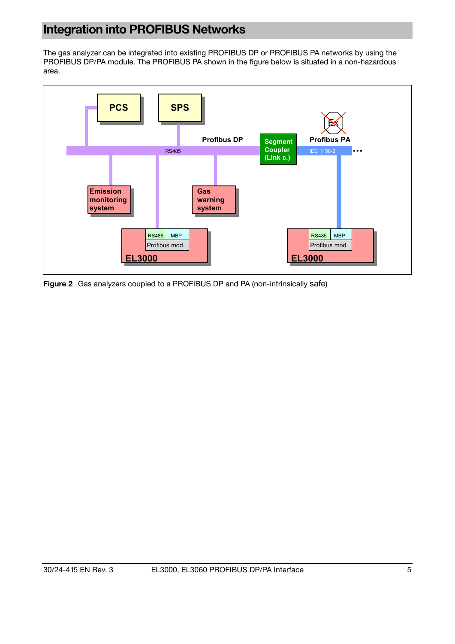## <span id="page-4-0"></span>**Integration into PROFIBUS Networks**

The gas analyzer can be integrated into existing PROFIBUS DP or PROFIBUS PA networks by using the PROFIBUS DP/PA module. The PROFIBUS PA shown in the figure below is situated in a non-hazardous area.



**Figure 2** Gas analyzers coupled to a PROFIBUS DP and PA (non-intrinsically safe)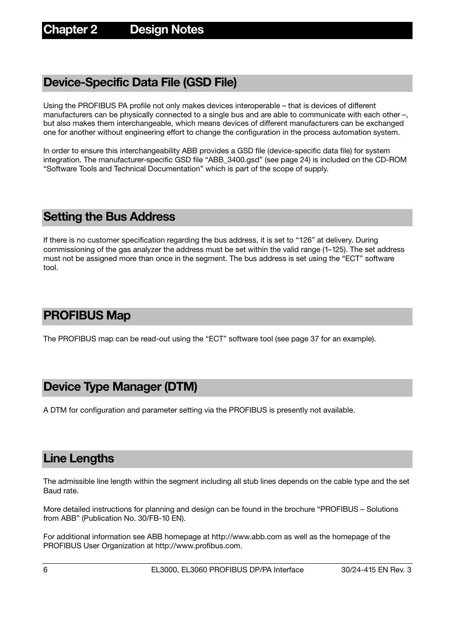### <span id="page-5-0"></span>**Device-Specific Data File (GSD File)**

Using the PROFIBUS PA profile not only makes devices interoperable – that is devices of different manufacturers can be physically connected to a single bus and are able to communicate with each other –, but also makes them interchangeable, which means devices of different manufacturers can be exchanged one for another without engineering effort to change the configuration in the process automation system.

In order to ensure this interchangeability ABB provides a GSD file (device-specific data file) for system integration. The manufacturer-specific GSD file "ABB\_3400.gsd" (see page [2](#page-23-0)4) is included on the CD-ROM "Software Tools and Technical Documentation" which is part of the scope of supply.

### <span id="page-5-1"></span>**Setting the Bus Address**

If there is no customer specification regarding the bus address, it is set to "126" at delivery. During commissioning of the gas analyzer the address must be set within the valid range (1–125). The set address must not be assigned more than once in the segment. The bus address is set using the "ECT" software tool.

### <span id="page-5-2"></span>**PROFIBUS Map**

The PROFIBUS map can be read-out using the "ECT" software tool (see page [3](#page-36-0)7 for an example).

### <span id="page-5-3"></span>**Device Type Manager (DTM)**

A DTM for configuration and parameter setting via the PROFIBUS is presently not available.

### <span id="page-5-4"></span>**Line Lengths**

The admissible line length within the segment including all stub lines depends on the cable type and the set Baud rate.

More detailed instructions for planning and design can be found in the brochure "PROFIBUS – Solutions from ABB" (Publication No. 30/FB-10 EN).

For additional information see ABB homepage at http://www.abb.com as well as the homepage of the PROFIBUS User Organization at http://www.profibus.com.

6 EL3000, EL3060 PROFIBUS DP/PA Interface 30/24-415 EN Rev. 3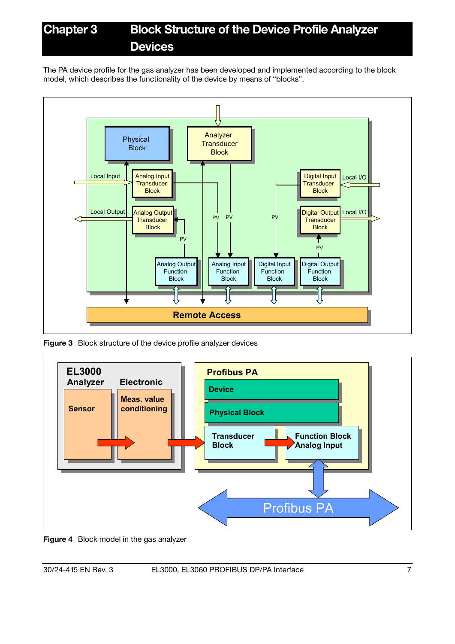# **Chapter 3 Block Structure of the Device Profile Analyzer Devices**

The PA device profile for the gas analyzer has been developed and implemented according to the block model, which describes the functionality of the device by means of "blocks".



**Figure 3** Block structure of the device profile analyzer devices



**Figure 4** Block model in the gas analyzer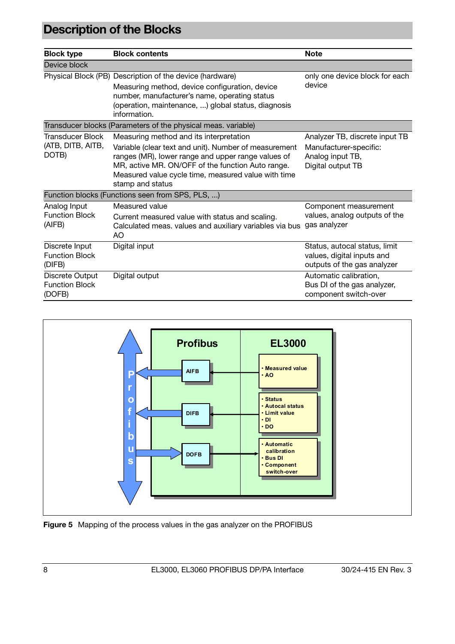# <span id="page-7-0"></span>**Description of the Blocks**

| <b>Block type</b>                                  | <b>Block contents</b>                                                                                                                                                                                                                                                                  | <b>Note</b>                                                                                       |
|----------------------------------------------------|----------------------------------------------------------------------------------------------------------------------------------------------------------------------------------------------------------------------------------------------------------------------------------------|---------------------------------------------------------------------------------------------------|
| Device block                                       |                                                                                                                                                                                                                                                                                        |                                                                                                   |
|                                                    | Physical Block (PB) Description of the device (hardware)<br>Measuring method, device configuration, device<br>number, manufacturer's name, operating status<br>(operation, maintenance, ) global status, diagnosis<br>information.                                                     | only one device block for each<br>device                                                          |
|                                                    | Transducer blocks (Parameters of the physical meas. variable)                                                                                                                                                                                                                          |                                                                                                   |
| Transducer Block<br>(ATB, DITB, AITB,<br>DOTB)     | Measuring method and its interpretation<br>Variable (clear text and unit). Number of measurement<br>ranges (MR), lower range and upper range values of<br>MR, active MR. ON/OFF of the function Auto range.<br>Measured value cycle time, measured value with time<br>stamp and status | Analyzer TB, discrete input TB<br>Manufacturer-specific:<br>Analog input TB,<br>Digital output TB |
|                                                    | Function blocks (Functions seen from SPS, PLS, )                                                                                                                                                                                                                                       |                                                                                                   |
| Analog Input<br><b>Function Block</b><br>(AIFB)    | Measured value<br>Current measured value with status and scaling.<br>Calculated meas. values and auxiliary variables via bus<br>AO.                                                                                                                                                    | Component measurement<br>values, analog outputs of the<br>gas analyzer                            |
| Discrete Input<br><b>Function Block</b><br>(DIFB)  | Digital input                                                                                                                                                                                                                                                                          | Status, autocal status, limit<br>values, digital inputs and<br>outputs of the gas analyzer        |
| Discrete Output<br><b>Function Block</b><br>(DOFB) | Digital output                                                                                                                                                                                                                                                                         | Automatic calibration,<br>Bus DI of the gas analyzer,<br>component switch-over                    |



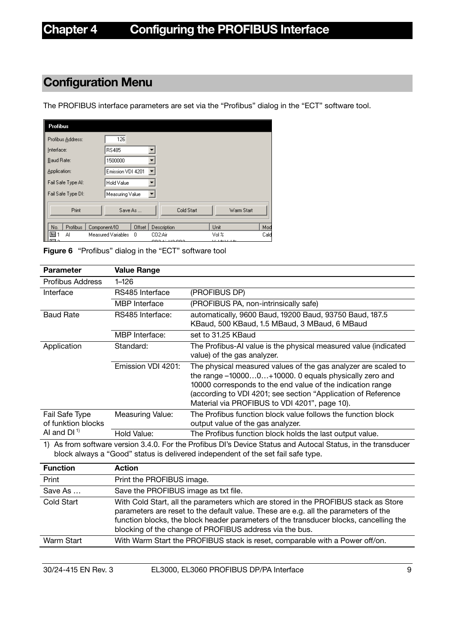## <span id="page-8-0"></span>**Configuration Menu**

The PROFIBUS interface parameters are set via the "Profibus" dialog in the "ECT" software tool.

| <b>Profibus</b>    |                         |                                      |                            |      |
|--------------------|-------------------------|--------------------------------------|----------------------------|------|
| Profibus Address:  | 126                     |                                      |                            |      |
| Interface:         | <b>RS485</b>            |                                      |                            |      |
| Baud Rate:         | 1500000                 |                                      |                            |      |
| Application:       | Emission VDI 4201       |                                      |                            |      |
| Fail Safe Type Al: | Hold Value              |                                      |                            |      |
| Fail Safe Type DI: | Measuring Value         |                                      |                            |      |
| Print              | Save As                 | Cold Start                           | Warm Start                 |      |
| Profibus<br>No.    | Offset<br>Component/IO  | Description                          | Unit                       | Mod  |
| 国<br>Al            | Measured Variables<br>0 | CO <sub>2:Air</sub><br>000.45110.000 | Vol %<br>$37 - 1923 - 192$ | Cald |

**Figure 6** "Profibus" dialog in the "ECT" software tool

| <b>Parameter</b>                     | <b>Value Range</b>      |                                                                                                                                                                                                                                                                                                         |
|--------------------------------------|-------------------------|---------------------------------------------------------------------------------------------------------------------------------------------------------------------------------------------------------------------------------------------------------------------------------------------------------|
| Profibus Address                     | $1 - 126$               |                                                                                                                                                                                                                                                                                                         |
| Interface                            | RS485 Interface         | (PROFIBUS DP)                                                                                                                                                                                                                                                                                           |
|                                      | <b>MBP</b> Interface    | (PROFIBUS PA, non-intrinsically safe)                                                                                                                                                                                                                                                                   |
| <b>Baud Rate</b>                     | RS485 Interface:        | automatically, 9600 Baud, 19200 Baud, 93750 Baud, 187.5<br>KBaud, 500 KBaud, 1.5 MBaud, 3 MBaud, 6 MBaud                                                                                                                                                                                                |
|                                      | MBP Interface:          | set to 31.25 KBaud                                                                                                                                                                                                                                                                                      |
| Application                          | Standard:               | The Profibus-AI value is the physical measured value (indicated<br>value) of the gas analyzer.                                                                                                                                                                                                          |
|                                      | Emission VDI 4201:      | The physical measured values of the gas analyzer are scaled to<br>the range -100000+10000. 0 equals physically zero and<br>10000 corresponds to the end value of the indication range<br>(according to VDI 4201; see section "Application of Reference<br>Material via PROFIBUS to VDI 4201", page 10). |
| Fail Safe Type<br>of funktion blocks | <b>Measuring Value:</b> | The Profibus function block value follows the function block<br>output value of the gas analyzer.                                                                                                                                                                                                       |
| AI and $DI1$                         | Hold Value:             | The Profibus function block holds the last output value.                                                                                                                                                                                                                                                |

1) As from software version 3.4.0. For the Profibus DI's Device Status and Autocal Status, in the transducer block always a "Good" status is delivered independent of the set fail safe type.

| <b>Function</b> | <b>Action</b>                                                                                                                                                                                                                                                                                                                  |
|-----------------|--------------------------------------------------------------------------------------------------------------------------------------------------------------------------------------------------------------------------------------------------------------------------------------------------------------------------------|
| Print           | Print the PROFIBUS image.                                                                                                                                                                                                                                                                                                      |
| Save As         | Save the PROFIBUS image as txt file.                                                                                                                                                                                                                                                                                           |
| Cold Start      | With Cold Start, all the parameters which are stored in the PROFIBUS stack as Store<br>parameters are reset to the default value. These are e.g. all the parameters of the<br>function blocks, the block header parameters of the transducer blocks, cancelling the<br>blocking of the change of PROFIBUS address via the bus. |
| Warm Start      | With Warm Start the PROFIBUS stack is reset, comparable with a Power off/on.                                                                                                                                                                                                                                                   |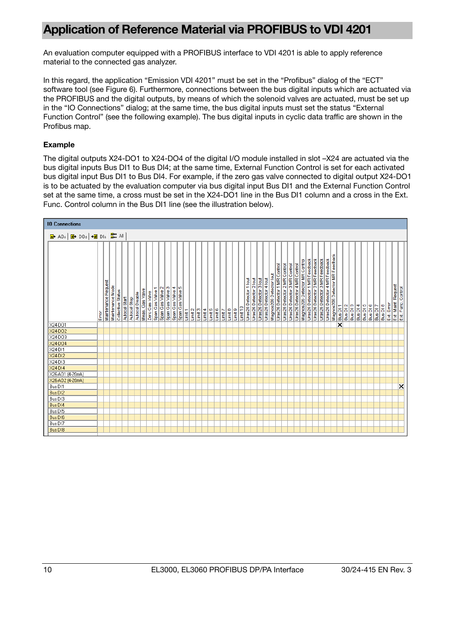## <span id="page-9-0"></span>**Application of Reference Material via PROFIBUS to VDI 4201**

An evaluation computer equipped with a PROFIBUS interface to VDI 4201 is able to apply reference material to the connected gas analyzer.

In this regard, the application "Emission VDI 4201" must be set in the "Profibus" dialog of the "ECT" software tool (see Figure 6). Furthermore, connections between the bus digital inputs which are actuated via the PROFIBUS and the digital outputs, by means of which the solenoid valves are actuated, must be set up in the "IO Connections" dialog; at the same time, the bus digital inputs must set the status "External Function Control" (see the following example). The bus digital inputs in cyclic data traffic are shown in the Profibus map.

#### **Example**

The digital outputs X24-DO1 to X24-DO4 of the digital I/O module installed in slot –X24 are actuated via the bus digital inputs Bus DI1 to Bus DI4; at the same time, External Function Control is set for each activated bus digital input Bus DI1 to Bus DI4. For example, if the zero gas valve connected to digital output X24-DO1 is to be actuated by the evaluation computer via bus digital input Bus DI1 and the External Function Control set at the same time, a cross must be set in the X24-DO1 line in the Bus DI1 column and a cross in the Ext. Func. Control column in the Bus DI1 line (see the illustration below).

| <b>10 Connections</b>                                  |      |                     |                  |                   |               |              |                 |                 |                |                  |                                     |                  |                     |                     |         |         |         |         |         |         |         |         |         |          |                        |                        |                        |                        |                         |                              |                              |                              |                              |                               |                               |                               |                               |                               |                                |          |          |          |          |          |          |          |          |            |                                           |  |
|--------------------------------------------------------|------|---------------------|------------------|-------------------|---------------|--------------|-----------------|-----------------|----------------|------------------|-------------------------------------|------------------|---------------------|---------------------|---------|---------|---------|---------|---------|---------|---------|---------|---------|----------|------------------------|------------------------|------------------------|------------------------|-------------------------|------------------------------|------------------------------|------------------------------|------------------------------|-------------------------------|-------------------------------|-------------------------------|-------------------------------|-------------------------------|--------------------------------|----------|----------|----------|----------|----------|----------|----------|----------|------------|-------------------------------------------|--|
| <b>a</b> AOs <mark>d</mark> DOs → d DIs <b>B</b> B All |      |                     |                  |                   |               |              |                 |                 |                |                  |                                     |                  |                     |                     |         |         |         |         |         |         |         |         |         |          |                        |                        |                        |                        |                         |                              |                              |                              |                              |                               |                               |                               |                               |                               |                                |          |          |          |          |          |          |          |          |            |                                           |  |
|                                                        | Emer | Maintenance Request | Maintenance Mode | Collective Status | Autocal Start | Autocal Stop | Autocal Disable | Meas, Cas Valve | Zero Gas Valve | Span Gas Valve 1 | $\mathbf{\alpha}$<br>Span Gas Valve | Span Gas Valve 3 | 4<br>Span Gas Valve | ю<br>Span Gas Valve | Limit 1 | Limit 2 | Limit 3 | Limit 4 | Limit 5 | Limit 6 | Limit 7 | Limit 8 | Limit 9 | Limit 10 | Uras26 Detector 1 lout | Uras26 Detector 2 lout | Uras26 Detector 3 lout | Uras26 Detector 4 lout | Magnos206 Detector lout | Uras26 Detector 1 MR Control | Uras26 Detector 2 MR Control | Uras26 Detector 3 MR Control | Uras26 Detector 4 MR Control | Magnos206 Detector MR Control | Uras26 Detector 1 MR Feedback | Uras26 Detector 2 MR Feedback | Uras26 Detector 3 MR Feedback | Uras26 Detector 4 MR Feedback | Magnos206 Detector MR Feedback | Bus DI 1 | Bus DI 2 | Bus DI 3 | Bus DI 4 | Bus DI 5 | Bus DI 6 | Bus DI 7 | Bus DI 8 | Ext. Error | Ext. Maint. Request<br>Ext. Func. Control |  |
| X24-D01                                                |      |                     |                  |                   |               |              |                 |                 |                |                  |                                     |                  |                     |                     |         |         |         |         |         |         |         |         |         |          |                        |                        |                        |                        |                         |                              |                              |                              |                              |                               |                               |                               |                               |                               |                                | ∝        |          |          |          |          |          |          |          |            |                                           |  |
| X24-DO2                                                |      |                     |                  |                   |               |              |                 |                 |                |                  |                                     |                  |                     |                     |         |         |         |         |         |         |         |         |         |          |                        |                        |                        |                        |                         |                              |                              |                              |                              |                               |                               |                               |                               |                               |                                |          |          |          |          |          |          |          |          |            |                                           |  |
| X24-DO3                                                |      |                     |                  |                   |               |              |                 |                 |                |                  |                                     |                  |                     |                     |         |         |         |         |         |         |         |         |         |          |                        |                        |                        |                        |                         |                              |                              |                              |                              |                               |                               |                               |                               |                               |                                |          |          |          |          |          |          |          |          |            |                                           |  |
| X24-DO4                                                |      |                     |                  |                   |               |              |                 |                 |                |                  |                                     |                  |                     |                     |         |         |         |         |         |         |         |         |         |          |                        |                        |                        |                        |                         |                              |                              |                              |                              |                               |                               |                               |                               |                               |                                |          |          |          |          |          |          |          |          |            |                                           |  |
| X24-DI1                                                |      |                     |                  |                   |               |              |                 |                 |                |                  |                                     |                  |                     |                     |         |         |         |         |         |         |         |         |         |          |                        |                        |                        |                        |                         |                              |                              |                              |                              |                               |                               |                               |                               |                               |                                |          |          |          |          |          |          |          |          |            |                                           |  |
| X24-DI2                                                |      |                     |                  |                   |               |              |                 |                 |                |                  |                                     |                  |                     |                     |         |         |         |         |         |         |         |         |         |          |                        |                        |                        |                        |                         |                              |                              |                              |                              |                               |                               |                               |                               |                               |                                |          |          |          |          |          |          |          |          |            |                                           |  |
| X24-DI3                                                |      |                     |                  |                   |               |              |                 |                 |                |                  |                                     |                  |                     |                     |         |         |         |         |         |         |         |         |         |          |                        |                        |                        |                        |                         |                              |                              |                              |                              |                               |                               |                               |                               |                               |                                |          |          |          |          |          |          |          |          |            |                                           |  |
| $X24-D14$                                              |      |                     |                  |                   |               |              |                 |                 |                |                  |                                     |                  |                     |                     |         |         |         |         |         |         |         |         |         |          |                        |                        |                        |                        |                         |                              |                              |                              |                              |                               |                               |                               |                               |                               |                                |          |          |          |          |          |          |          |          |            |                                           |  |
| X26-A01 (4-20mA)                                       |      |                     |                  |                   |               |              |                 |                 |                |                  |                                     |                  |                     |                     |         |         |         |         |         |         |         |         |         |          |                        |                        |                        |                        |                         |                              |                              |                              |                              |                               |                               |                               |                               |                               |                                |          |          |          |          |          |          |          |          |            |                                           |  |
| X26-A02 (4-20mA)                                       |      |                     |                  |                   |               |              |                 |                 |                |                  |                                     |                  |                     |                     |         |         |         |         |         |         |         |         |         |          |                        |                        |                        |                        |                         |                              |                              |                              |                              |                               |                               |                               |                               |                               |                                |          |          |          |          |          |          |          |          |            |                                           |  |
| Bus DI1                                                |      |                     |                  |                   |               |              |                 |                 |                |                  |                                     |                  |                     |                     |         |         |         |         |         |         |         |         |         |          |                        |                        |                        |                        |                         |                              |                              |                              |                              |                               |                               |                               |                               |                               |                                |          |          |          |          |          |          |          |          |            | $\overline{\mathsf{x}}$                   |  |
| Bus DI2                                                |      |                     |                  |                   |               |              |                 |                 |                |                  |                                     |                  |                     |                     |         |         |         |         |         |         |         |         |         |          |                        |                        |                        |                        |                         |                              |                              |                              |                              |                               |                               |                               |                               |                               |                                |          |          |          |          |          |          |          |          |            |                                           |  |
| Bus DI3                                                |      |                     |                  |                   |               |              |                 |                 |                |                  |                                     |                  |                     |                     |         |         |         |         |         |         |         |         |         |          |                        |                        |                        |                        |                         |                              |                              |                              |                              |                               |                               |                               |                               |                               |                                |          |          |          |          |          |          |          |          |            |                                           |  |
| Bus DI4                                                |      |                     |                  |                   |               |              |                 |                 |                |                  |                                     |                  |                     |                     |         |         |         |         |         |         |         |         |         |          |                        |                        |                        |                        |                         |                              |                              |                              |                              |                               |                               |                               |                               |                               |                                |          |          |          |          |          |          |          |          |            |                                           |  |
| Bus DI5                                                |      |                     |                  |                   |               |              |                 |                 |                |                  |                                     |                  |                     |                     |         |         |         |         |         |         |         |         |         |          |                        |                        |                        |                        |                         |                              |                              |                              |                              |                               |                               |                               |                               |                               |                                |          |          |          |          |          |          |          |          |            |                                           |  |
| Bus DI6                                                |      |                     |                  |                   |               |              |                 |                 |                |                  |                                     |                  |                     |                     |         |         |         |         |         |         |         |         |         |          |                        |                        |                        |                        |                         |                              |                              |                              |                              |                               |                               |                               |                               |                               |                                |          |          |          |          |          |          |          |          |            |                                           |  |
| Bus DI7                                                |      |                     |                  |                   |               |              |                 |                 |                |                  |                                     |                  |                     |                     |         |         |         |         |         |         |         |         |         |          |                        |                        |                        |                        |                         |                              |                              |                              |                              |                               |                               |                               |                               |                               |                                |          |          |          |          |          |          |          |          |            |                                           |  |
| Bus DI8                                                |      |                     |                  |                   |               |              |                 |                 |                |                  |                                     |                  |                     |                     |         |         |         |         |         |         |         |         |         |          |                        |                        |                        |                        |                         |                              |                              |                              |                              |                               |                               |                               |                               |                               |                                |          |          |          |          |          |          |          |          |            |                                           |  |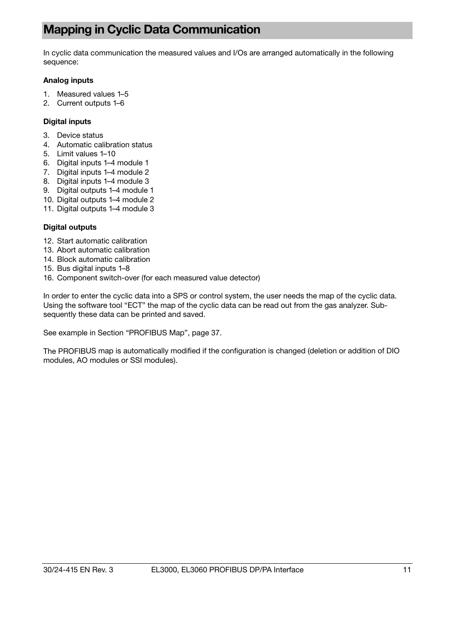## <span id="page-10-0"></span>**Mapping in Cyclic Data Communication**

In cyclic data communication the measured values and I/Os are arranged automatically in the following sequence:

#### **Analog inputs**

- 1. Measured values 1–5
- 2. Current outputs 1–6

#### **Digital inputs**

- 3. Device status
- 4. Automatic calibration status
- 5. Limit values 1–10
- 6. Digital inputs 1–4 module 1
- 7. Digital inputs 1–4 module 2
- 8. Digital inputs 1–4 module 3
- 9. Digital outputs 1–4 module 1
- 10. Digital outputs 1–4 module 2
- 11. Digital outputs 1–4 module 3

#### **Digital outputs**

- 12. Start automatic calibration
- 13. Abort automatic calibration
- 14. Block automatic calibration
- 15. Bus digital inputs 1–8
- 16. Component switch-over (for each measured value detector)

In order to enter the cyclic data into a SPS or control system, the user needs the map of the cyclic data. Using the software tool "ECT" the map of the cyclic data can be read out from the gas analyzer. Subsequently these data can be printed and saved.

See example in Section "PROFIBUS Map", page [3](#page-36-0)7.

The PROFIBUS map is automatically modified if the configuration is changed (deletion or addition of DIO modules, AO modules or SSI modules).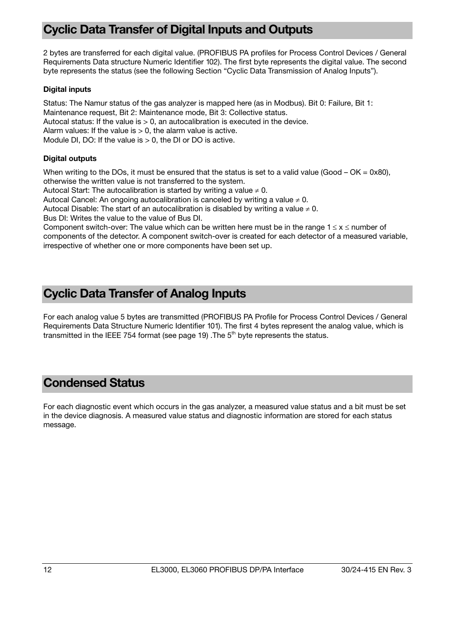## <span id="page-11-0"></span>**Cyclic Data Transfer of Digital Inputs and Outputs**

2 bytes are transferred for each digital value. (PROFIBUS PA profiles for Process Control Devices / General Requirements Data structure Numeric Identifier 102). The first byte represents the digital value. The second byte represents the status (see the following Section "Cyclic Data Transmission of Analog Inputs").

#### **Digital inputs**

Status: The Namur status of the gas analyzer is mapped here (as in Modbus). Bit 0: Failure, Bit 1: Maintenance request, Bit 2: Maintenance mode, Bit 3: Collective status. Autocal status: If the value is  $> 0$ , an autocalibration is executed in the device. Alarm values: If the value is  $> 0$ , the alarm value is active. Module DI, DO: If the value is  $> 0$ , the DI or DO is active.

#### **Digital outputs**

When writing to the DOs, it must be ensured that the status is set to a valid value (Good –  $OK = 0x80$ ), otherwise the written value is not transferred to the system.

Autocal Start: The autocalibration is started by writing a value  $\neq 0$ .

Autocal Cancel: An ongoing autocalibration is canceled by writing a value  $\neq 0$ .

Autocal Disable: The start of an autocalibration is disabled by writing a value  $\neq 0$ .

Bus DI: Writes the value to the value of Bus DI.

Component switch-over: The value which can be written here must be in the range  $1 \le x \le$  number of components of the detector. A component switch-over is created for each detector of a measured variable, irrespective of whether one or more components have been set up.

### <span id="page-11-1"></span>**Cyclic Data Transfer of Analog Inputs**

For each analog value 5 bytes are transmitted (PROFIBUS PA Profile for Process Control Devices / General Requirements Data Structure Numeric Identifier 101). The first 4 bytes represent the analog value, which is transmitted in the IEEE 754 format (see page [19](#page-18-0)). The  $5<sup>th</sup>$  byte represents the status.

### <span id="page-11-2"></span>**Condensed Status**

For each diagnostic event which occurs in the gas analyzer, a measured value status and a bit must be set in the device diagnosis. A measured value status and diagnostic information are stored for each status message.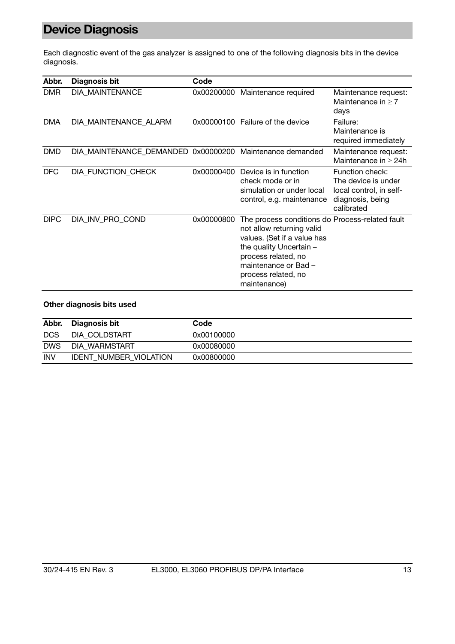# <span id="page-12-0"></span>**Device Diagnosis**

Each diagnostic event of the gas analyzer is assigned to one of the following diagnosis bits in the device diagnosis.

| Abbr.       | <b>Diagnosis bit</b>                | Code       |                                                                                                                                                                                                                              |                                                                                                     |
|-------------|-------------------------------------|------------|------------------------------------------------------------------------------------------------------------------------------------------------------------------------------------------------------------------------------|-----------------------------------------------------------------------------------------------------|
| <b>DMR</b>  | DIA_MAINTENANCE                     | 0x00200000 | Maintenance required                                                                                                                                                                                                         | Maintenance request:<br>Maintenance in $\geq 7$<br>days                                             |
| <b>DMA</b>  | DIA_MAINTENANCE_ALARM               | 0x00000100 | Failure of the device                                                                                                                                                                                                        | Failure:<br>Maintenance is<br>required immediately                                                  |
| <b>DMD</b>  | DIA_MAINTENANCE_DEMANDED 0x00000200 |            | Maintenance demanded                                                                                                                                                                                                         | Maintenance request:<br>Maintenance in $\geq 24$ h                                                  |
| <b>DFC</b>  | DIA_FUNCTION_CHECK                  | 0x00000400 | Device is in function<br>check mode or in<br>simulation or under local<br>control, e.g. maintenance                                                                                                                          | Function check:<br>The device is under<br>local control, in self-<br>diagnosis, being<br>calibrated |
| <b>DIPC</b> | DIA INV PRO COND                    | 0x00000800 | The process conditions do Process-related fault<br>not allow returning valid<br>values. (Set if a value has<br>the quality Uncertain -<br>process related, no<br>maintenance or Bad -<br>process related, no<br>maintenance) |                                                                                                     |

#### **Other diagnosis bits used**

| Abbr.      | Diagnosis bit                 | Code       |
|------------|-------------------------------|------------|
| <b>DCS</b> | DIA COLDSTART                 | 0x00100000 |
| <b>DWS</b> | DIA WARMSTART                 | 0x00080000 |
| <b>INV</b> | <b>IDENT NUMBER VIOLATION</b> | 0x00800000 |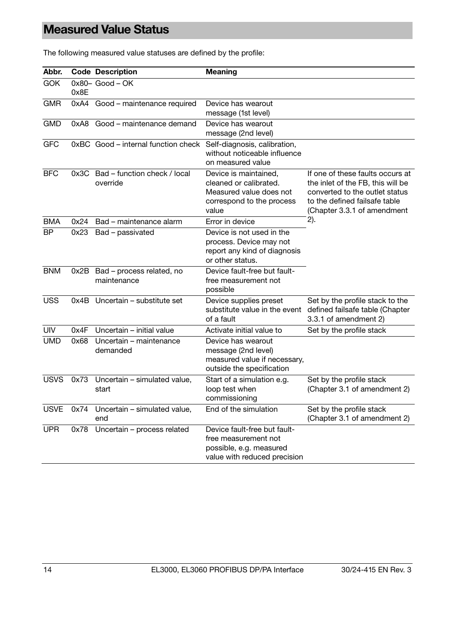## <span id="page-13-0"></span>**Measured Value Status**

| Abbr.       |      | <b>Code Description</b>                       | <b>Meaning</b>                                                                                                   |                                                                                                                                                                         |
|-------------|------|-----------------------------------------------|------------------------------------------------------------------------------------------------------------------|-------------------------------------------------------------------------------------------------------------------------------------------------------------------------|
| <b>GOK</b>  | 0x8E | $0x80 - Good - OK$                            |                                                                                                                  |                                                                                                                                                                         |
| <b>GMR</b>  |      | 0xA4 Good - maintenance required              | Device has wearout<br>message (1st level)                                                                        |                                                                                                                                                                         |
| <b>GMD</b>  | 0xA8 | Good – maintenance demand                     | Device has wearout<br>message (2nd level)                                                                        |                                                                                                                                                                         |
| <b>GFC</b>  |      | 0xBC Good - internal function check           | Self-diagnosis, calibration,<br>without noticeable influence<br>on measured value                                |                                                                                                                                                                         |
| <b>BFC</b>  | 0x3C | Bad - function check / local<br>override      | Device is maintained,<br>cleaned or calibrated.<br>Measured value does not<br>correspond to the process<br>value | If one of these faults occurs at<br>the inlet of the FB, this will be<br>converted to the outlet status<br>to the defined failsafe table<br>(Chapter 3.3.1 of amendment |
| BMA         | 0x24 | Bad – maintenance alarm                       | Error in device                                                                                                  | 2).                                                                                                                                                                     |
| ΒP          | 0x23 | Bad - passivated                              | Device is not used in the<br>process. Device may not<br>report any kind of diagnosis<br>or other status.         |                                                                                                                                                                         |
| <b>BNM</b>  |      | 0x2B Bad - process related, no<br>maintenance | Device fault-free but fault-<br>free measurement not<br>possible                                                 |                                                                                                                                                                         |
| <b>USS</b>  | 0x4B | Uncertain – substitute set                    | Device supplies preset<br>substitute value in the event<br>of a fault                                            | Set by the profile stack to the<br>defined failsafe table (Chapter<br>3.3.1 of amendment 2)                                                                             |
| <b>UIV</b>  | 0x4F | Uncertain - initial value                     | Activate initial value to                                                                                        | Set by the profile stack                                                                                                                                                |
| <b>UMD</b>  | 0x68 | Uncertain - maintenance<br>demanded           | Device has wearout<br>message (2nd level)<br>measured value if necessary,<br>outside the specification           |                                                                                                                                                                         |
| <b>USVS</b> | 0x73 | Uncertain - simulated value,<br>start         | Start of a simulation e.g.<br>loop test when<br>commissioning                                                    | Set by the profile stack<br>(Chapter 3.1 of amendment 2)                                                                                                                |
| <b>USVE</b> | 0x74 | Uncertain - simulated value,<br>end           | End of the simulation                                                                                            | Set by the profile stack<br>(Chapter 3.1 of amendment 2)                                                                                                                |
| <b>UPR</b>  | 0x78 | Uncertain - process related                   | Device fault-free but fault-<br>free measurement not<br>possible, e.g. measured<br>value with reduced precision  |                                                                                                                                                                         |

The following measured value statuses are defined by the profile: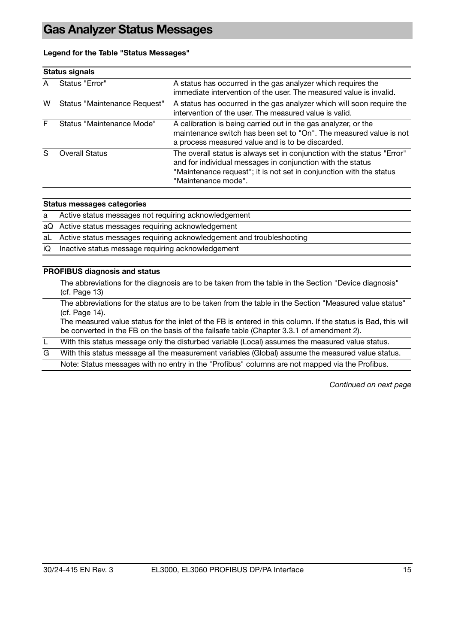#### <span id="page-14-0"></span>**Legend for the Table "Status Messages"**

|   | <b>Status signals</b>        |                                                                                                                                                                                                                                     |
|---|------------------------------|-------------------------------------------------------------------------------------------------------------------------------------------------------------------------------------------------------------------------------------|
| A | Status "Error"               | A status has occurred in the gas analyzer which requires the<br>immediate intervention of the user. The measured value is invalid.                                                                                                  |
| w | Status "Maintenance Request" | A status has occurred in the gas analyzer which will soon require the<br>intervention of the user. The measured value is valid.                                                                                                     |
|   | Status "Maintenance Mode"    | A calibration is being carried out in the gas analyzer, or the<br>maintenance switch has been set to "On". The measured value is not<br>a process measured value and is to be discarded.                                            |
|   | <b>Overall Status</b>        | The overall status is always set in conjunction with the status "Error"<br>and for individual messages in conjunction with the status<br>"Maintenance request"; it is not set in conjunction with the status<br>"Maintenance mode". |

#### **Status messages categories**

a Active status messages not requiring acknowledgement

- aQ Active status messages requiring acknowledgement
- aL Active status messages requiring acknowledgement and troubleshooting
- iQ Inactive status message requiring acknowledgement

#### **PROFIBUS diagnosis and status**

 The abbreviations for the diagnosis are to be taken from the table in the Section "Device diagnosis" (cf. Page [1](#page-12-0)3)

 The abbreviations for the status are to be taken from the table in the Section "Measured value status" (cf. Page [1](#page-13-0)4).

The measured value status for the inlet of the FB is entered in this column. If the status is Bad, this will be converted in the FB on the basis of the failsafe table (Chapter 3.3.1 of amendment 2).

L With this status message only the disturbed variable (Local) assumes the measured value status.

G With this status message all the measurement variables (Global) assume the measured value status.

Note: Status messages with no entry in the "Profibus" columns are not mapped via the Profibus.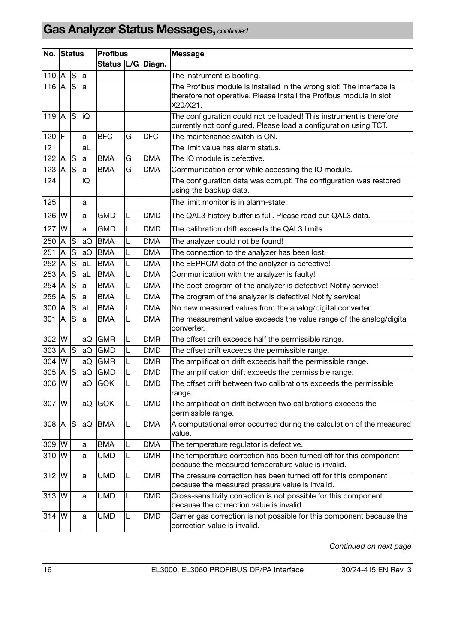# **Gas Analyzer Status Messages,** *continued*

| No. Status |                |               |    | <b>Profibus</b><br>Status   L/G   Diagn. |   |            | <b>Message</b>                                                                                                          |
|------------|----------------|---------------|----|------------------------------------------|---|------------|-------------------------------------------------------------------------------------------------------------------------|
|            |                |               |    |                                          |   |            |                                                                                                                         |
| 110        | $\overline{A}$ | <b>S</b>      | la |                                          |   |            | The instrument is booting.                                                                                              |
| 116        | A              | <sub>S</sub>  | la |                                          |   |            | The Profibus module is installed in the wrong slot! The interface is                                                    |
|            |                |               |    |                                          |   |            | therefore not operative. Please install the Profibus module in slot                                                     |
|            |                |               |    |                                          |   |            | X20/X21.                                                                                                                |
| 119        | A              | lS            | iQ |                                          |   |            | The configuration could not be loaded! This instrument is therefore                                                     |
|            |                |               |    |                                          |   |            | currently not configured. Please load a configuration using TCT.                                                        |
| $120$ F    |                |               | a  | <b>BFC</b>                               | G | <b>DFC</b> | The maintenance switch is ON.                                                                                           |
| 121        |                |               | aL |                                          |   |            | The limit value has alarm status.                                                                                       |
| 122        | A              | S             | a  | <b>BMA</b>                               | G | <b>DMA</b> | The IO module is defective.                                                                                             |
| 123        | ΙA             | ls            | a  | <b>BMA</b>                               | G | <b>DMA</b> | Communication error while accessing the IO module.                                                                      |
| 124        |                |               | iQ |                                          |   |            | The configuration data was corrupt! The configuration was restored<br>using the backup data.                            |
| 125        |                |               | a  |                                          |   |            | The limit monitor is in alarm-state.                                                                                    |
| 126        | IW             |               | a  | <b>GMD</b>                               | L | DMD        | The QAL3 history buffer is full. Please read out QAL3 data.                                                             |
| 127        | <b>W</b>       |               | a  | <b>GMD</b>                               | L | <b>DMD</b> | The calibration drift exceeds the QAL3 limits.                                                                          |
| 250        | ΙA             | lS            | aQ | <b>BMA</b>                               | L | <b>DMA</b> | The analyzer could not be found!                                                                                        |
| 251        | ΙA             | S             | aQ | <b>BMA</b>                               | L | DMA        | The connection to the analyzer has been lost!                                                                           |
| 252        | A              | <b>S</b>      | aL | <b>BMA</b>                               | L | <b>DMA</b> | The EEPROM data of the analyzer is defective!                                                                           |
| 253 A      |                | S             | aL | <b>BMA</b>                               | L | <b>DMA</b> | Communication with the analyzer is faulty!                                                                              |
| 254        | ΙA             | ls            | la | <b>BMA</b>                               | L | <b>DMA</b> | The boot program of the analyzer is defective! Notify service!                                                          |
| 255        | A              | <b>S</b>      | a  | <b>BMA</b>                               | L | <b>DMA</b> | The program of the analyzer is defective! Notify service!                                                               |
| 300        | A              | lS            | aL | <b>BMA</b>                               | L | <b>DMA</b> | No new measured values from the analog/digital converter.                                                               |
| 301        | IA             | <sub>S</sub>  | la | <b>BMA</b>                               | L | <b>DMA</b> | The measurement value exceeds the value range of the analog/digital<br>converter.                                       |
| 302 W      |                |               | aQ | <b>GMR</b>                               | L | <b>DMR</b> | The offset drift exceeds half the permissible range.                                                                    |
| 303        | A              | ls            | aQ | <b>GMD</b>                               | L | <b>DMD</b> | The offset drift exceeds the permissible range.                                                                         |
| 304        | W              |               | aQ | <b>GMR</b>                               | L | <b>DMR</b> | The amplification drift exceeds half the permissible range.                                                             |
| 305        | A              | <b>S</b>      | aQ | <b>GMD</b>                               | L | <b>DMD</b> | The amplification drift exceeds the permissible range.                                                                  |
| 306        | IW             |               | aQ | GOK                                      | L | <b>DMD</b> | The offset drift between two calibrations exceeds the permissible                                                       |
|            |                |               |    |                                          |   |            | range.                                                                                                                  |
| 307 W      |                |               | aQ | <b>GOK</b>                               | L | <b>DMD</b> | The amplification drift between two calibrations exceeds the                                                            |
|            |                |               |    |                                          |   |            | permissible range.                                                                                                      |
| 308 A      |                | <sub>IS</sub> | aQ | <b>BMA</b>                               | L | <b>DMA</b> | A computational error occurred during the calculation of the measured<br>value.                                         |
| 309 W      |                |               | a  | <b>BMA</b>                               | L | <b>DMA</b> | The temperature regulator is defective.                                                                                 |
| 310 W      |                |               | a  | <b>UMD</b>                               | L | <b>DMR</b> | The temperature correction has been turned off for this component<br>because the measured temperature value is invalid. |
| 312 W      |                |               | a  | <b>UMD</b>                               | L | <b>DMR</b> | The pressure correction has been turned off for this component                                                          |
|            |                |               |    |                                          |   |            | because the measured pressure value is invalid.                                                                         |
| 313 W      |                |               | a  | <b>UMD</b>                               | L | <b>DMD</b> | Cross-sensitivity correction is not possible for this component<br>because the correction value is invalid.             |
| 314        | W              |               | a  | <b>UMD</b>                               | L | <b>DMD</b> | Carrier gas correction is not possible for this component because the<br>correction value is invalid.                   |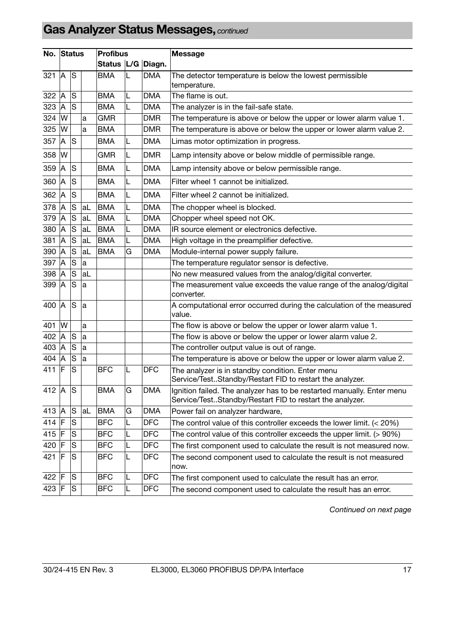# **Gas Analyzer Status Messages,** *continued*

| No. Status |                |               |    | <b>Profibus</b>       |   |            | <b>Message</b>                                                                                                                     |
|------------|----------------|---------------|----|-----------------------|---|------------|------------------------------------------------------------------------------------------------------------------------------------|
|            |                |               |    | Status   L/G   Diagn. |   |            |                                                                                                                                    |
| 321        | $\overline{A}$ | ls            |    | <b>BMA</b>            | L | <b>DMA</b> | The detector temperature is below the lowest permissible<br>temperature.                                                           |
| 322        | Α              | S             |    | BMA                   | L | <b>DMA</b> | The flame is out.                                                                                                                  |
| 323        | A              | ls            |    | <b>BMA</b>            | L | <b>DMA</b> | The analyzer is in the fail-safe state.                                                                                            |
| 324        | W              |               | a  | <b>GMR</b>            |   | <b>DMR</b> | The temperature is above or below the upper or lower alarm value 1.                                                                |
| 325        | W              |               | a  | <b>BMA</b>            |   | <b>DMR</b> | The temperature is above or below the upper or lower alarm value 2.                                                                |
| 357        | A              | ls            |    | <b>BMA</b>            | L | <b>DMA</b> | Limas motor optimization in progress.                                                                                              |
| 358        | W              |               |    | GMR                   | L | <b>DMR</b> | Lamp intensity above or below middle of permissible range.                                                                         |
| 359        | A              | lS            |    | BMA                   | L | <b>DMA</b> | Lamp intensity above or below permissible range.                                                                                   |
| 360        | A              | S             |    | <b>BMA</b>            | L | <b>DMA</b> | Filter wheel 1 cannot be initialized.                                                                                              |
| 362        | $\overline{A}$ | S             |    | <b>BMA</b>            | L | <b>DMA</b> | Filter wheel 2 cannot be initialized.                                                                                              |
| 378        | Α              | <b>S</b>      | aL | <b>BMA</b>            | L | <b>DMA</b> | The chopper wheel is blocked.                                                                                                      |
| 379        | A              | S             | aL | <b>BMA</b>            | L | <b>DMA</b> | Chopper wheel speed not OK.                                                                                                        |
| 380        | IA             | ls            | aL | <b>BMA</b>            | L | <b>DMA</b> | IR source element or electronics defective.                                                                                        |
| 381        | A              | S             | aL | <b>BMA</b>            | L | <b>DMA</b> | High voltage in the preamplifier defective.                                                                                        |
| 390        | A              | lS            | aL | <b>BMA</b>            | G | <b>DMA</b> | Module-internal power supply failure.                                                                                              |
| 397        | A              | ls            | la |                       |   |            | The temperature regulator sensor is defective.                                                                                     |
| 398        | A              | lS            | aL |                       |   |            | No new measured values from the analog/digital converter.                                                                          |
| 399        | Α              | ls            | a  |                       |   |            | The measurement value exceeds the value range of the analog/digital<br>converter.                                                  |
| 400        | <b>IA</b>      | lS            | la |                       |   |            | A computational error occurred during the calculation of the measured<br>value.                                                    |
| 401        | W              |               | a  |                       |   |            | The flow is above or below the upper or lower alarm value 1.                                                                       |
| 402        | A              | <sub>S</sub>  | la |                       |   |            | The flow is above or below the upper or lower alarm value 2.                                                                       |
| 403 A      |                | IS            | a  |                       |   |            | The controller output value is out of range.                                                                                       |
| 404        | IA             | lS            | a  |                       |   |            | The temperature is above or below the upper or lower alarm value 2.                                                                |
| 411 F      |                | S             |    | <b>BFC</b>            | L | <b>DFC</b> | The analyzer is in standby condition. Enter menu<br>Service/TestStandby/Restart FID to restart the analyzer.                       |
| 412 $ A $  |                | <sub>S</sub>  |    | <b>BMA</b>            | G | <b>DMA</b> | Ignition failed. The analyzer has to be restarted manually. Enter menu<br>Service/TestStandby/Restart FID to restart the analyzer. |
| 413 A      |                | ls            | aL | <b>BMA</b>            | G | <b>DMA</b> | Power fail on analyzer hardware,                                                                                                   |
| 414 F      |                | S             |    | <b>BFC</b>            | L | <b>DFC</b> | The control value of this controller exceeds the lower limit. $(< 20\%)$                                                           |
| 415 $ F $  |                | S             |    | <b>BFC</b>            | L | <b>DFC</b> | The control value of this controller exceeds the upper limit. (> 90%)                                                              |
| 420 F      |                | ${\mathbb S}$ |    | <b>BFC</b>            | L | DFC        | The first component used to calculate the result is not measured now.                                                              |
| 421 F      |                | S             |    | <b>BFC</b>            | L | <b>DFC</b> | The second component used to calculate the result is not measured<br>now.                                                          |
| 422 F      |                | S             |    | <b>BFC</b>            | L | <b>DFC</b> | The first component used to calculate the result has an error.                                                                     |
| 423 F      |                | S             |    | <b>BFC</b>            | L | <b>DFC</b> | The second component used to calculate the result has an error.                                                                    |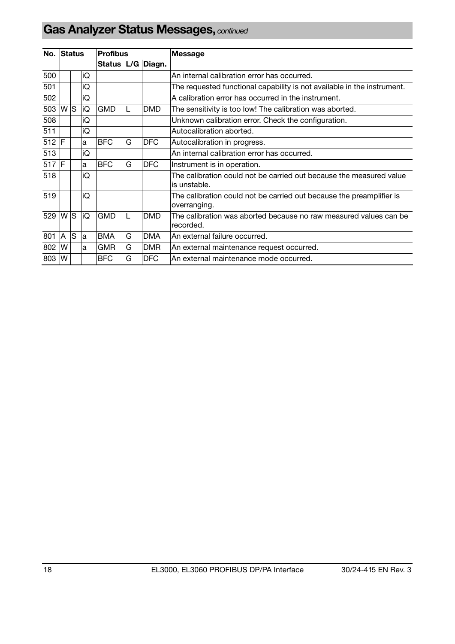| No. Status |          |    |    | <b>Profibus</b>       |   |            | Message                                                                              |
|------------|----------|----|----|-----------------------|---|------------|--------------------------------------------------------------------------------------|
|            |          |    |    | Status   L/G   Diagn. |   |            |                                                                                      |
| 500        |          |    | iQ |                       |   |            | An internal calibration error has occurred.                                          |
| 501        |          |    | iQ |                       |   |            | The requested functional capability is not available in the instrument.              |
| 502        |          |    | iQ |                       |   |            | A calibration error has occurred in the instrument.                                  |
| 503 W      |          | ls | İQ | <b>GMD</b>            |   | <b>DMD</b> | The sensitivity is too low! The calibration was aborted.                             |
| 508        |          |    | iQ |                       |   |            | Unknown calibration error. Check the configuration.                                  |
| 511        |          |    | iQ |                       |   |            | Autocalibration aborted.                                                             |
| $512$ F    |          |    | a  | <b>BFC</b>            | G | <b>DFC</b> | Autocalibration in progress.                                                         |
| 513        |          |    | iQ |                       |   |            | An internal calibration error has occurred.                                          |
| 517 F      |          |    | a  | <b>BFC</b>            | G | <b>DFC</b> | Instrument is in operation.                                                          |
| 518        |          |    | iQ |                       |   |            | The calibration could not be carried out because the measured value<br>is unstable.  |
| 519        |          |    | iQ |                       |   |            | The calibration could not be carried out because the preamplifier is<br>overranging. |
| 529 W      |          | ls | iQ | <b>GMD</b>            |   | <b>DMD</b> | The calibration was aborted because no raw measured values can be<br>recorded.       |
| 801        | <b>A</b> | ls | la | <b>BMA</b>            | G | <b>DMA</b> | An external failure occurred.                                                        |
| 802        | <b>W</b> |    | la | <b>GMR</b>            | G | <b>DMR</b> | An external maintenance request occurred.                                            |
| 803 W      |          |    |    | <b>BFC</b>            | G | <b>DFC</b> | lAn external maintenance mode occurred.                                              |

# **Gas Analyzer Status Messages,** *continued*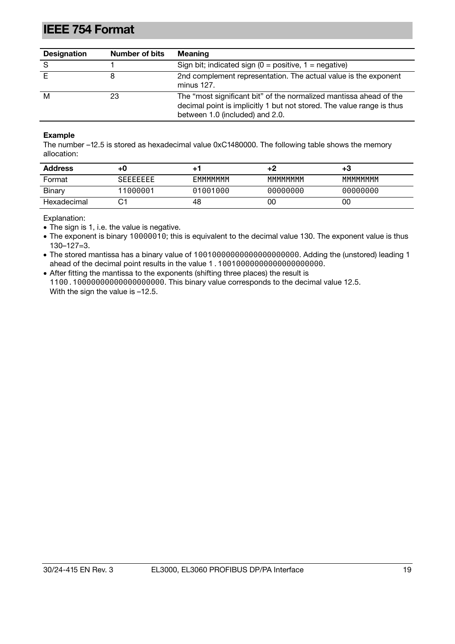## <span id="page-18-0"></span>**IEEE 754 Format**

| <b>Designation</b> | Number of bits | <b>Meaning</b>                                                                                                                                                                 |
|--------------------|----------------|--------------------------------------------------------------------------------------------------------------------------------------------------------------------------------|
| S                  |                | Sign bit; indicated sign $(0 = positive, 1 = negative)$                                                                                                                        |
|                    |                | 2nd complement representation. The actual value is the exponent<br>minus 127.                                                                                                  |
| м                  | 23             | The "most significant bit" of the normalized mantissa ahead of the<br>decimal point is implicitly 1 but not stored. The value range is thus<br>between 1.0 (included) and 2.0. |

#### **Example**

The number –12.5 is stored as hexadecimal value 0xC1480000. The following table shows the memory allocation:

| <b>Address</b> | +C               |          | +2       | +ა       |
|----------------|------------------|----------|----------|----------|
| Format         | <b>SEFFFFFFF</b> | EMMMMMM  | MMMMMMM  | MMMMMMM  |
| Binary         | 11000001         | 01001000 | 00000000 | 00000000 |
| Hexadecimal    | ⌒.<br>ٮ          | 48       | 00       | 00       |

Explanation:

• The sign is 1, i.e. the value is negative.

 The exponent is binary 10000010; this is equivalent to the decimal value 130. The exponent value is thus 130–127=3.

 The stored mantissa has a binary value of 10010000000000000000000. Adding the (unstored) leading 1 ahead of the decimal point results in the value 1.10010000000000000000000.

 After fitting the mantissa to the exponents (shifting three places) the result is 1100.10000000000000000000. This binary value corresponds to the decimal value 12.5. With the sign the value is  $-12.5$ .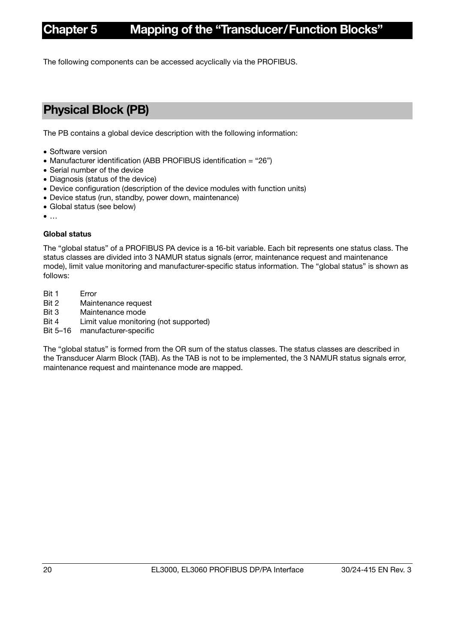## **Chapter 5 Mapping of the "Transducer/Function Blocks"**

The following components can be accessed acyclically via the PROFIBUS.

## <span id="page-19-0"></span>**Physical Block (PB)**

The PB contains a global device description with the following information:

- Software version
- Manufacturer identification (ABB PROFIBUS identification = "26")
- Serial number of the device
- Diagnosis (status of the device)
- Device configuration (description of the device modules with function units)
- Device status (run, standby, power down, maintenance)
- Global status (see below)
- $\bullet$  ...

#### **Global status**

The "global status" of a PROFIBUS PA device is a 16-bit variable. Each bit represents one status class. The status classes are divided into 3 NAMUR status signals (error, maintenance request and maintenance mode), limit value monitoring and manufacturer-specific status information. The "global status" is shown as follows:

- Bit 1 Error
- Bit 2 Maintenance request
- Bit 3 Maintenance mode
- Bit 4 Limit value monitoring (not supported)
- Bit 5–16 manufacturer-specific

The "global status" is formed from the OR sum of the status classes. The status classes are described in the Transducer Alarm Block (TAB). As the TAB is not to be implemented, the 3 NAMUR status signals error, maintenance request and maintenance mode are mapped.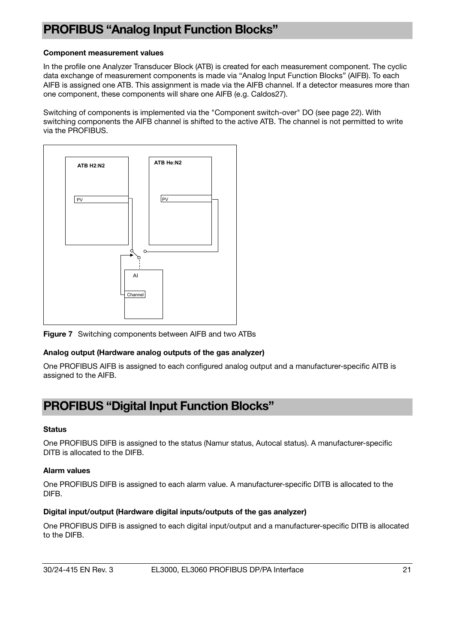## <span id="page-20-0"></span>**PROFIBUS "Analog Input Function Blocks"**

#### **Component measurement values**

In the profile one Analyzer Transducer Block (ATB) is created for each measurement component. The cyclic data exchange of measurement components is made via "Analog Input Function Blocks" (AIFB). To each AIFB is assigned one ATB. This assignment is made via the AIFB channel. If a detector measures more than one component, these components will share one AIFB (e.g. Caldos27).

Switching of components is implemented via the "Component switch-over" DO (see page 22). With switching components the AIFB channel is shifted to the active ATB. The channel is not permitted to write via the PROFIBUS.



**Figure 7** Switching components between AIFB and two ATBs

#### **Analog output (Hardware analog outputs of the gas analyzer)**

One PROFIBUS AIFB is assigned to each configured analog output and a manufacturer-specific AITB is assigned to the AIFB.

### <span id="page-20-1"></span>**PROFIBUS "Digital Input Function Blocks"**

#### **Status**

One PROFIBUS DIFB is assigned to the status (Namur status, Autocal status). A manufacturer-specific DITB is allocated to the DIFB.

#### **Alarm values**

One PROFIBUS DIFB is assigned to each alarm value. A manufacturer-specific DITB is allocated to the DIFB.

#### **Digital input/output (Hardware digital inputs/outputs of the gas analyzer)**

One PROFIBUS DIFB is assigned to each digital input/output and a manufacturer-specific DITB is allocated to the DIFB.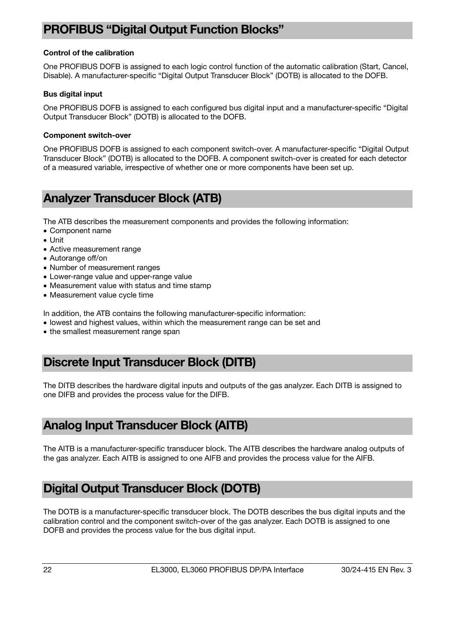### <span id="page-21-0"></span>**PROFIBUS "Digital Output Function Blocks"**

#### **Control of the calibration**

One PROFIBUS DOFB is assigned to each logic control function of the automatic calibration (Start, Cancel, Disable). A manufacturer-specific "Digital Output Transducer Block" (DOTB) is allocated to the DOFB.

#### **Bus digital input**

One PROFIBUS DOFB is assigned to each configured bus digital input and a manufacturer-specific "Digital Output Transducer Block" (DOTB) is allocated to the DOFB.

#### **Component switch-over**

One PROFIBUS DOFB is assigned to each component switch-over. A manufacturer-specific "Digital Output Transducer Block" (DOTB) is allocated to the DOFB. A component switch-over is created for each detector of a measured variable, irrespective of whether one or more components have been set up.

### <span id="page-21-1"></span>**Analyzer Transducer Block (ATB)**

The ATB describes the measurement components and provides the following information:

- Component name
- Unit
- Active measurement range
- Autorange off/on
- Number of measurement ranges
- Lower-range value and upper-range value
- Measurement value with status and time stamp
- Measurement value cycle time

In addition, the ATB contains the following manufacturer-specific information:

- lowest and highest values, within which the measurement range can be set and
- the smallest measurement range span

### <span id="page-21-2"></span>**Discrete Input Transducer Block (DITB)**

The DITB describes the hardware digital inputs and outputs of the gas analyzer. Each DITB is assigned to one DIFB and provides the process value for the DIFB.

### <span id="page-21-3"></span>**Analog Input Transducer Block (AITB)**

The AITB is a manufacturer-specific transducer block. The AITB describes the hardware analog outputs of the gas analyzer. Each AITB is assigned to one AIFB and provides the process value for the AIFB.

### <span id="page-21-4"></span>**Digital Output Transducer Block (DOTB)**

The DOTB is a manufacturer-specific transducer block. The DOTB describes the bus digital inputs and the calibration control and the component switch-over of the gas analyzer. Each DOTB is assigned to one DOFB and provides the process value for the bus digital input.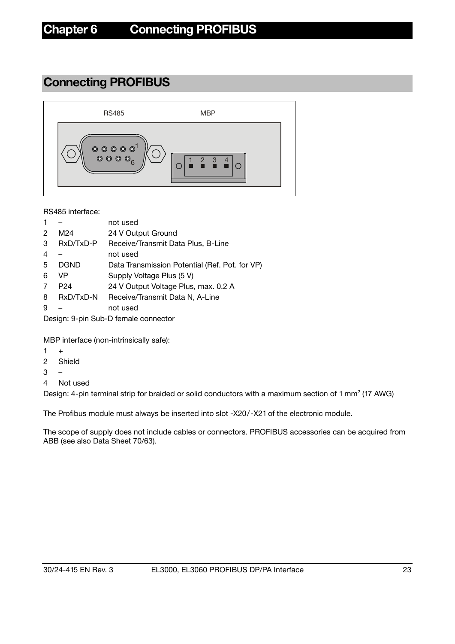## **Connecting PROFIBUS**

<span id="page-22-0"></span>

RS485 interface:

- 1 not used
- 2 M24 24 V Output Ground
- 3 RxD/TxD-P Receive/Transmit Data Plus, B-Line
- 4 not used
- 5 DGND Data Transmission Potential (Ref. Pot. for VP)
- 6 VP Supply Voltage Plus (5 V)
- 7 P24 24 V Output Voltage Plus, max. 0.2 A
- 8 RxD/TxD-N Receive/Transmit Data N, A-Line
- 9 not used

Design: 9-pin Sub-D female connector

MBP interface (non-intrinsically safe):

- $1 +$
- 2 Shield
- $3 -$
- 4 Not used

Design: 4-pin terminal strip for braided or solid conductors with a maximum section of 1 mm<sup>2</sup> (17 AWG)

The Profibus module must always be inserted into slot -X20/-X21 of the electronic module.

The scope of supply does not include cables or connectors. PROFIBUS accessories can be acquired from ABB (see also Data Sheet 70/63).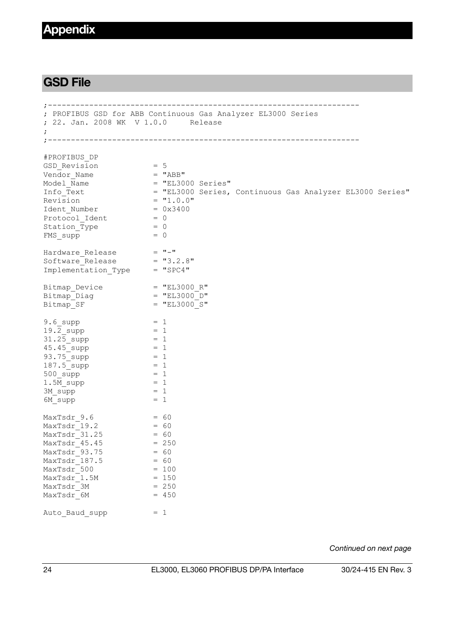### **Appendix**

### <span id="page-23-0"></span>**GSD File**

```
;-------------------------------------------------------------------- 
; PROFIBUS GSD for ABB Continuous Gas Analyzer EL3000 Series 
; 22. Jan. 2008 WK V 1.0.0 Release 
; 
;-------------------------------------------------------------------- 
#PROFIBUS_DP 
GSD Revision = 5Vendor_Name = "ABB"<br>
Model Name = "EL30
Model_Name = "EL3000 Series" 
Info Text = "EL3000 Series, Continuous Gas Analyzer EL3000 Series"
Revision = "1.0.0"Ident_Number = 0<br>Protocol Ident = 0
Protocol_Ident = 0<br>
Station Type = 0<br>
Station Type = 0
Station<sub>Type</sub>
FMS supp = 0Hardware_Release = "-" 
Software_Release = "3.2.8" 
Implementation Type = "SPC4"
Bitmap Device = "EL3000 R"Bitmap_Diag = "EL3000_D" 
Bitmap_Dovido<br>Bitmap_Diag = "EL3000_D"<br>Bitmap SF = "EL3000_S"
9.6 supp = 119.\overline{2}_supp = 1<br>31.25 supp = 1
31.25_supp = 1<br>45.45 supp = 1
45.45_supp
93.75 supp = 1
187.5 supp = 1
500 \text{ supp} = 11.5\overline{\phantom{m}} supp = 1
3M supp = 16M supp = 1MaxTsdr_9.6 = 60<br>
MaxTsdr_19.2 = 60MaxTsdr_19.2 = 60<br>
MaxTsdr_31.25 = 60
MaxTsdr<sup>-31.25</sup> = 60<br>MaxTsdr 45.45 = 250
MaxTsdr_45.45 = 25<br>MaxTsdr 93.75 = 60
MaxTsdr<sup>-93.75</sup> = 60<br>MaxTsdr 187.5 = 60
MaxTsdr<sup>-187.5</sup>
MaxTsdr = 100<br>
MaxTsdr 1.5M = 150
MaxTsdr 1.5M
MaxTsdr 3M = 250
MaxTsdr 6M = 450
Auto Baud supp = 1
```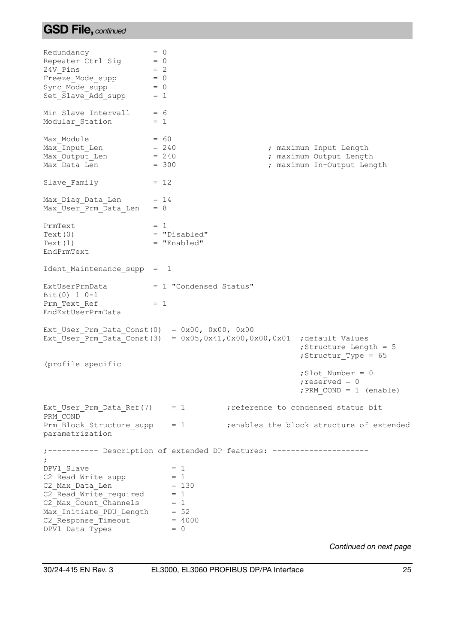## **GSD File,** *continued*

| Redundancy<br>Repeater_Ctrl_Sig<br>24V Pins<br>Freeze Mode supp<br>Sync Mode supp<br>Set Slave Add supp                                                                                      | $= 0$<br>$= 0$<br>$= 2$<br>$= 0$<br>$= 0$<br>$= 1$ |                                                |  |                                                                                 |
|----------------------------------------------------------------------------------------------------------------------------------------------------------------------------------------------|----------------------------------------------------|------------------------------------------------|--|---------------------------------------------------------------------------------|
| Min_Slave_Intervall = 6<br>Modular Station                                                                                                                                                   | $= 1$                                              |                                                |  |                                                                                 |
| $\text{Max}$ $\text{Input}$ Len = 60<br>$\text{Max}$ $\text{Output}$ Len = 240<br>Max_Output_Len<br>Max Data Len                                                                             | $= 240$<br>$= 300$                                 |                                                |  | ; maximum Input Length<br>; maximum Output Length<br>; maximum In-Output Length |
| Slave Family                                                                                                                                                                                 | $= 12$                                             |                                                |  |                                                                                 |
| Max_Diag_Data_Len = 14<br>Max_User_Prm_Data_Len                                                                                                                                              | $= 8$                                              |                                                |  |                                                                                 |
| PrmText<br>Text(0)<br>Text(1)<br>EndPrmText                                                                                                                                                  | $= 1$                                              | = "Disabled"<br>$=$ "Enabled"                  |  |                                                                                 |
| Ident Maintenance supp = 1                                                                                                                                                                   |                                                    |                                                |  |                                                                                 |
| ExtUserPrmData<br>$Bit(0) 1 0-1$<br>Prm Text Ref<br>EndExtUserPrmData                                                                                                                        | $= 1$                                              | = 1 "Condensed Status"                         |  |                                                                                 |
| Ext User Prm Data Const $(0) = 0x00$ , 0x00, 0x00<br>Ext_User_Prm_Data_Const(3) = $0x05, 0x41, 0x00, 0x00, 0x01$                                                                             |                                                    |                                                |  | ; default Values<br>; Structure Length = 5<br>; Structur_Type = 65              |
| (profile specific                                                                                                                                                                            |                                                    |                                                |  | $;$ Slot Number = 0<br>; reserved = $0$<br>; PRM $COND = 1$ (enable)            |
| Ext User Prm Data Ref $(7)$ = 1 ; reference to condensed status bit<br>PRM COND                                                                                                              |                                                    |                                                |  |                                                                                 |
| Prm Block Structure supp<br>parametrization                                                                                                                                                  |                                                    |                                                |  | = 1 ; enables the block structure of extended                                   |
| ; ----------- Description of extended DP features: --------------------                                                                                                                      |                                                    |                                                |  |                                                                                 |
| DPV1 Slave<br>C2 Read Write supp<br>C2 Max Data Len<br>C2 Read Write required $= 1$<br>C2 Max Count Channels = $1$<br>Max_Initiate_PDU Length = 52<br>C2 Response Timeout<br>DPV1 Data Types |                                                    | $= 1$<br>$= 1$<br>$= 130$<br>$= 4000$<br>$= 0$ |  |                                                                                 |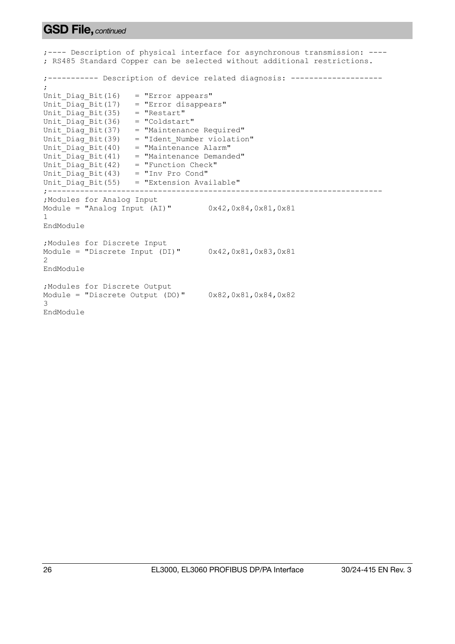### **GSD File,** *continued*

;---- Description of physical interface for asynchronous transmission: ---- ; RS485 Standard Copper can be selected without additional restrictions. ;----------- Description of device related diagnosis: -------------------- ; Unit Diag Bit(16) = "Error appears"  $Unit\$  $Bit(17)$  = "Error disappears" Unit  $Diag$  Bit(35) = "Restart" Unit  $Diag$  Bit(36) = "Coldstart" Unit  $Diag$  Bit(37) = "Maintenance Required" Unit  $Diag$  Bit(39) = "Ident Number violation" Unit Diag Bit(40) = "Maintenance Alarm" Unit Diag Bit(41) = "Maintenance Demanded" Unit Diag Bit(42) = "Function Check" Unit  $Diag$  Bit(43) = "Inv Pro Cond" Unit Diag Bit(55) = "Extension Available" ;------------------------------------------------------------------------- ;Modules for Analog Input Module = "Analog Input (AI)"  $0x42,0x84,0x81,0x81$ 1 EndModule ;Modules for Discrete Input Module = "Discrete Input (DI)"  $0x42,0x81,0x83,0x81$ 2 EndModule ;Modules for Discrete Output Module = "Discrete Output (DO)"  $0x82,0x81,0x84,0x82$ 3 EndModule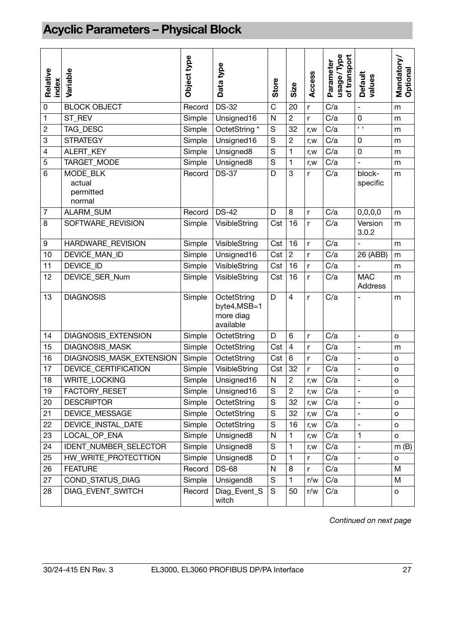# <span id="page-26-0"></span>**Acyclic Parameters – Physical Block**

| Relative<br>index | Variable                                  | Object type | Data type                                             | Store         | Size                    | Access       | usage/Type<br>of transport<br>Parameter | <b>Default</b><br>values     | Mandatory/<br>Optional |
|-------------------|-------------------------------------------|-------------|-------------------------------------------------------|---------------|-------------------------|--------------|-----------------------------------------|------------------------------|------------------------|
| $\mathbf 0$       | <b>BLOCK OBJECT</b>                       | Record      | <b>DS-32</b>                                          | C             | 20                      | r            | C/a                                     | $\overline{\phantom{a}}$     | m                      |
| 1                 | ST_REV                                    | Simple      | Unsigned16                                            | $\mathsf{N}$  | $\overline{c}$          | r            | C/a                                     | 0                            | m                      |
| $\overline{c}$    | TAG_DESC                                  | Simple      | OctetString *                                         | S             | 32                      | r,w          | C/a                                     | $\overline{1}$               | m                      |
| 3                 | <b>STRATEGY</b>                           | Simple      | Unsigned16                                            | S             | $\boldsymbol{2}$        | r, w         | C/a                                     | 0                            | m                      |
| 4                 | ALERT_KEY                                 | Simple      | Unsigned8                                             | S             | 1                       | r, w         | C/a                                     | 0                            | m                      |
| 5                 | TARGET_MODE                               | Simple      | Unsigned8                                             | $\mathbf S$   | $\mathbf{1}$            | r,w          | C/a                                     | $\overline{a}$               | m                      |
| 6                 | MODE_BLK<br>actual<br>permitted<br>normal | Record      | <b>DS-37</b>                                          | D             | 3                       | r            | C/a                                     | block-<br>specific           | m                      |
| $\overline{7}$    | ALARM_SUM                                 | Record      | <b>DS-42</b>                                          | D             | 8                       | r            | C/a                                     | 0, 0, 0, 0                   | m                      |
| 8                 | SOFTWARE_REVISION                         | Simple      | VisibleString                                         | Cst           | 16                      | r            | C/a                                     | Version<br>3.0.2             | m                      |
| 9                 | <b>HARDWARE REVISION</b>                  | Simple      | VisibleString                                         | Cst           | 16                      | r            | C/a                                     |                              | m                      |
| 10                | DEVICE_MAN_ID                             | Simple      | Unsigned16                                            | Cst           | $\overline{c}$          | r            | C/a                                     | 26 (ABB)                     | m                      |
| 11                | DEVICE_ID                                 | Simple      | VisibleString                                         | Cst           | 16                      | $\mathsf{r}$ | $\overline{C/a}$                        | $\overline{a}$               | m                      |
| 12                | DEVICE_SER_Num                            | Simple      | VisibleString                                         | Cst           | 16                      | r            | C/a                                     | <b>MAC</b><br><b>Address</b> | m                      |
| 13                | <b>DIAGNOSIS</b>                          | Simple      | OctetString<br>byte4, MSB=1<br>more diag<br>available | D             | $\overline{\mathbf{4}}$ | r            | C/a                                     |                              | m                      |
| 14                | DIAGNOSIS_EXTENSION                       | Simple      | OctetString                                           | D             | 6                       | r            | C/a                                     | $\overline{a}$               | $\circ$                |
| 15                | DIAGNOSIS_MASK                            | Simple      | OctetString                                           | Cst           | $\overline{4}$          | r            | C/a                                     | $\overline{a}$               | m                      |
| 16                | DIAGNOSIS_MASK_EXTENSION                  | Simple      | OctetString                                           | Cst           | $\overline{6}$          | $\mathsf{r}$ | C/a                                     | $\overline{a}$               | $\circ$                |
| 17                | <b>DEVICE CERTIFICATION</b>               | Simple      | VisibleString                                         | Cst           | 32                      | r            | C/a                                     | $\frac{1}{2}$                | o                      |
| 18                | WRITE_LOCKING                             | Simple      | Unsigned16                                            | ${\sf N}$     | $\overline{c}$          | r,w          | C/a                                     | $\overline{a}$               | O                      |
| 19                | FACTORY_RESET                             | Simple      | Unsigned16                                            | $\mathbf S$   | $\boldsymbol{2}$        | r,w          | C/a                                     | ۰                            | о                      |
| 20                | <b>DESCRIPTOR</b>                         | Simple      | OctetString                                           | S             | 32                      | r,w          | C/a                                     | $\overline{a}$               | $\mathsf{o}$           |
| 21                | DEVICE_MESSAGE                            | Simple      | OctetString                                           | ${\mathbb S}$ | 32                      | r, w         | C/a                                     |                              | $\mathsf{o}$           |
| 22                | DEVICE INSTAL DATE                        | Simple      | OctetString                                           | ${\mathsf S}$ | 16                      | r, w         | C/a                                     | $\qquad \qquad -$            | $\mathsf{o}$           |
| 23                | LOCAL OP ENA                              | Simple      | Unsigned8                                             | $\mathsf{N}$  | 1                       | r,w          | C/a                                     | 1                            | $\mathsf{o}\xspace$    |
| 24                | <b>IDENT NUMBER SELECTOR</b>              | Simple      | Unsigned8                                             | S             | 1                       | r, w         | C/a                                     | $\overline{\phantom{0}}$     | m(B)                   |
| 25                | HW WRITE PROTECTTION                      | Simple      | Unsigned8                                             | D             | 1                       | r            | C/a                                     | $\frac{1}{2}$                | $\mathsf{o}\xspace$    |
| 26                | <b>FEATURE</b>                            | Record      | <b>DS-68</b>                                          | $\mathsf{N}$  | 8                       | r            | C/a                                     |                              | M                      |
| 27                | COND_STATUS_DIAG                          | Simple      | Unsigend8                                             | S             | 1                       | r/w          | C/a                                     |                              | M                      |
| 28                | DIAG_EVENT_SWITCH                         | Record      | Diag_Event_S<br>witch                                 | S             | 50                      | r/w          | C/a                                     |                              | $\mathsf{o}$           |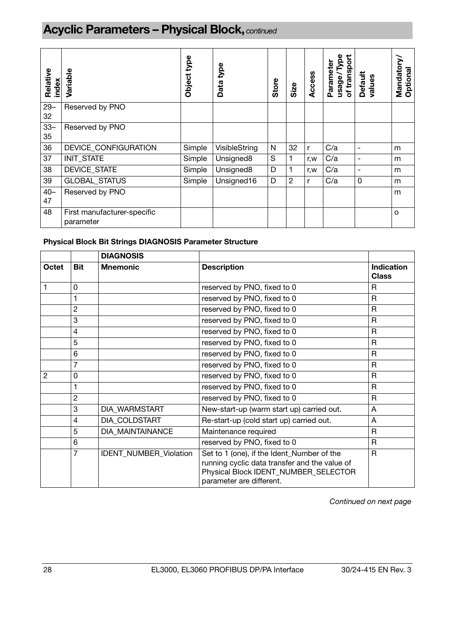# **Acyclic Parameters – Physical Block,** *continued*

| Relative<br>index | Variable                                 | type<br><b>Object</b> | Data type     | <b>Store</b> | Size           | Access | of transport<br>Type<br>Parameter<br>usage. | <b>Default</b><br>values | Mandatory<br>Optional |
|-------------------|------------------------------------------|-----------------------|---------------|--------------|----------------|--------|---------------------------------------------|--------------------------|-----------------------|
| $29 -$<br>32      | Reserved by PNO                          |                       |               |              |                |        |                                             |                          |                       |
| $33 -$<br>35      | Reserved by PNO                          |                       |               |              |                |        |                                             |                          |                       |
| 36                | DEVICE_CONFIGURATION                     | Simple                | VisibleString | $\mathsf{N}$ | 32             | r      | C/a                                         | ۰                        | m                     |
| 37                | INIT_STATE                               | Simple                | Unsigned8     | S            | 1              | r, w   | C/a                                         | $\overline{\phantom{0}}$ | m                     |
| 38                | DEVICE_STATE                             | Simple                | Unsigned8     | D            | $\mathbf{1}$   | r, w   | C/a                                         | ٠                        | m                     |
| 39                | <b>GLOBAL STATUS</b>                     | Simple                | Unsigned16    | D            | $\overline{c}$ | r      | C/a                                         | 0                        | m                     |
| $40 -$<br>47      | Reserved by PNO                          |                       |               |              |                |        |                                             |                          | m                     |
| 48                | First manufacturer-specific<br>parameter |                       |               |              |                |        |                                             |                          | O                     |

### **Physical Block Bit Strings DIAGNOSIS Parameter Structure**

|                |            | <b>DIAGNOSIS</b>        |                                                                                                                                                                 |                                   |
|----------------|------------|-------------------------|-----------------------------------------------------------------------------------------------------------------------------------------------------------------|-----------------------------------|
| Octet          | <b>Bit</b> | <b>Mnemonic</b>         | <b>Description</b>                                                                                                                                              | <b>Indication</b><br><b>Class</b> |
|                | 0          |                         | reserved by PNO, fixed to 0                                                                                                                                     | R                                 |
|                |            |                         | reserved by PNO, fixed to 0                                                                                                                                     | R                                 |
|                | 2          |                         | reserved by PNO, fixed to 0                                                                                                                                     | R                                 |
|                | 3          |                         | reserved by PNO, fixed to 0                                                                                                                                     | R                                 |
|                | 4          |                         | reserved by PNO, fixed to 0                                                                                                                                     | R                                 |
|                | 5          |                         | reserved by PNO, fixed to 0                                                                                                                                     | $\mathsf R$                       |
|                | 6          |                         | reserved by PNO, fixed to 0                                                                                                                                     | R                                 |
|                | 7          |                         | reserved by PNO, fixed to 0                                                                                                                                     | R                                 |
| $\overline{2}$ | 0          |                         | reserved by PNO, fixed to 0                                                                                                                                     | $\mathsf R$                       |
|                |            |                         | reserved by PNO, fixed to 0                                                                                                                                     | R                                 |
|                | 2          |                         | reserved by PNO, fixed to 0                                                                                                                                     | R                                 |
|                | 3          | DIA_WARMSTART           | New-start-up (warm start up) carried out.                                                                                                                       | A                                 |
|                | 4          | DIA COLDSTART           | Re-start-up (cold start up) carried out.                                                                                                                        | Α                                 |
|                | 5          | <b>DIA MAINTAINANCE</b> | Maintenance required                                                                                                                                            | R                                 |
|                | 6          |                         | reserved by PNO, fixed to 0                                                                                                                                     | $\mathsf{R}$                      |
|                | 7          | IDENT_NUMBER_Violation  | Set to 1 (one), if the Ident_Number of the<br>running cyclic data transfer and the value of<br>Physical Block IDENT_NUMBER_SELECTOR<br>parameter are different. | R                                 |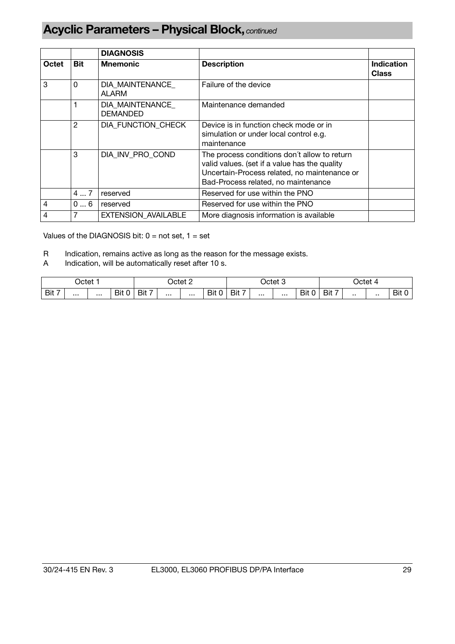# **Acyclic Parameters – Physical Block,** *continued*

|                |               | <b>DIAGNOSIS</b>                   |                                                                                                                                                                                      |                                   |
|----------------|---------------|------------------------------------|--------------------------------------------------------------------------------------------------------------------------------------------------------------------------------------|-----------------------------------|
| Octet          | Bit           | <b>Mnemonic</b>                    | <b>Description</b>                                                                                                                                                                   | <b>Indication</b><br><b>Class</b> |
| 3              | 0             | DIA MAINTENANCE<br><b>ALARM</b>    | Failure of the device                                                                                                                                                                |                                   |
|                |               | DIA MAINTENANCE<br><b>DEMANDED</b> | Maintenance demanded                                                                                                                                                                 |                                   |
|                | $\mathcal{P}$ | DIA FUNCTION CHECK                 | Device is in function check mode or in<br>simulation or under local control e.g.<br>maintenance                                                                                      |                                   |
|                | 3             | DIA INV PRO COND                   | The process conditions don't allow to return<br>valid values. (set if a value has the quality<br>Uncertain-Process related, no maintenance or<br>Bad-Process related, no maintenance |                                   |
|                | 47            | reserved                           | Reserved for use within the PNO                                                                                                                                                      |                                   |
| 4              | 06            | reserved                           | Reserved for use within the PNO                                                                                                                                                      |                                   |
| $\overline{4}$ |               | EXTENSION_AVAILABLE                | More diagnosis information is available                                                                                                                                              |                                   |

Values of the DIAGNOSIS bit:  $0 = not set$ ,  $1 = set$ 

- R Indication, remains active as long as the reason for the message exists.
- A Indication, will be automatically reset after 10 s.

| Octet    |  |          | Jctet 2                               |          |  |          | Octet 3  |       |  |  | Octet                                |       |  |     |             |
|----------|--|----------|---------------------------------------|----------|--|----------|----------|-------|--|--|--------------------------------------|-------|--|-----|-------------|
| Bit<br>- |  | $\cdots$ | Bit<br>$\overline{\phantom{a}}$<br>ັບ | Bit<br>- |  | $\cdots$ | Bit<br>0 | Bit 7 |  |  | Bit<br>$\overline{\phantom{a}}$<br>◡ | Bit 7 |  | . . | $D+$<br>DIL |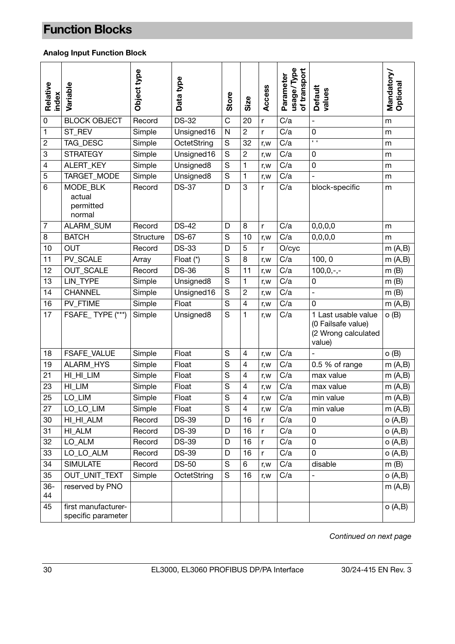### <span id="page-29-0"></span>**Analog Input Function Block**

| Relative<br>index | Variable                                  | Object type | Data type    | Store       | Size                     | Access | usage/Type<br>of transport<br>Parameter | <b>Default</b><br>values                                                   | Mandatory/<br>Optional |
|-------------------|-------------------------------------------|-------------|--------------|-------------|--------------------------|--------|-----------------------------------------|----------------------------------------------------------------------------|------------------------|
| $\pmb{0}$         | <b>BLOCK OBJECT</b>                       | Record      | <b>DS-32</b> | C           | 20                       | r      | C/a                                     | $\overline{a}$                                                             | m                      |
| 1                 | ST_REV                                    | Simple      | Unsigned16   | N           | $\overline{c}$           | r      | C/a                                     | $\mathbf 0$                                                                | m                      |
| $\boldsymbol{2}$  | TAG_DESC                                  | Simple      | OctetString  | S           | 32                       | r, w   | C/a                                     | $\sqrt{6}$                                                                 | m                      |
| 3                 | <b>STRATEGY</b>                           | Simple      | Unsigned16   | S           | $\overline{c}$           | r,w    | C/a                                     | $\pmb{0}$                                                                  | m                      |
| $\overline{4}$    | ALERT_KEY                                 | Simple      | Unsigned8    | S           | 1                        | r,w    | C/a                                     | $\pmb{0}$                                                                  | m                      |
| 5                 | TARGET_MODE                               | Simple      | Unsigned8    | S           | 1                        | r, w   | C/a                                     | $\overline{\phantom{a}}$                                                   | m                      |
| $6\phantom{1}6$   | MODE BLK<br>actual<br>permitted<br>normal | Record      | <b>DS-37</b> | D           | 3                        | r      | C/a                                     | block-specific                                                             | m                      |
| $\overline{7}$    | ALARM_SUM                                 | Record      | <b>DS-42</b> | D           | 8                        | r      | C/a                                     | 0,0,0,0                                                                    | m                      |
| 8                 | <b>BATCH</b>                              | Structure   | <b>DS-67</b> | S           | 10                       | r, w   | C/a                                     | 0, 0, 0, 0                                                                 | m                      |
| 10                | <b>OUT</b>                                | Record      | <b>DS-33</b> | D           | 5                        | r      | O/cyc                                   |                                                                            | m(A,B)                 |
| 11                | PV_SCALE                                  | Array       | Float (*)    | S           | 8                        | r, w   | C/a                                     | 100, 0                                                                     | m(A,B)                 |
| 12                | <b>OUT_SCALE</b>                          | Record      | <b>DS-36</b> | S           | 11                       | r, w   | C/a                                     | $100, 0, -,-$                                                              | m(B)                   |
| 13                | <b>LIN TYPE</b>                           | Simple      | Unsigned8    | S           | 1                        | r, w   | C/a                                     | $\pmb{0}$                                                                  | m(B)                   |
| 14                | <b>CHANNEL</b>                            | Simple      | Unsigned16   | S           | $\overline{c}$           | r,w    | C/a                                     | $\overline{a}$                                                             | m(B)                   |
| 16                | PV_FTIME                                  | Simple      | Float        | S           | $\overline{\mathcal{L}}$ | r, w   | C/a                                     | $\overline{0}$                                                             | m(A,B)                 |
| 17                | FSAFE_TYPE (***)                          | Simple      | Unsigned8    | S           | 1                        | r,w    | C/a                                     | 1 Last usable value<br>(0 Failsafe value)<br>(2 Wrong calculated<br>value) | o(B)                   |
| 18                | FSAFE_VALUE                               | Simple      | Float        | S           | 4                        | r,w    | C/a                                     |                                                                            | o(B)                   |
| 19                | ALARM_HYS                                 | Simple      | Float        | S           | 4                        | r, w   | C/a                                     | 0.5 % of range                                                             | m(A,B)                 |
| 21                | HI_HI_LIM                                 | Simple      | Float        | S           | $\overline{4}$           | r, w   | C/a                                     | max value                                                                  | m(A,B)                 |
| 23                | HI_LIM                                    | Simple      | Float        | S           | 4                        | r, w   | C/a                                     | max value                                                                  | m(A,B)                 |
| 25                | LO_LIM                                    | Simple      | Float        | S           | 4                        | r, w   | C/a                                     | min value                                                                  | m(A,B)                 |
| 27                | LO_LO_LIM                                 | Simple      | Float        | $\mathbf S$ | 4                        | r,w    | C/a                                     | min value                                                                  | m(A,B)                 |
| 30                | HI_HI_ALM                                 | Record      | <b>DS-39</b> | D           | 16                       | r      | C/a                                     | 0                                                                          | O(A,B)                 |
| 31                | HI ALM                                    | Record      | <b>DS-39</b> | D           | 16                       | r      | C/a                                     | 0                                                                          | o(A,B)                 |
| 32                | LO_ALM                                    | Record      | <b>DS-39</b> | D           | 16                       | r      | C/a                                     | 0                                                                          | o(A,B)                 |
| 33                | LO_LO_ALM                                 | Record      | <b>DS-39</b> | D           | 16                       | r      | C/a                                     | 0                                                                          | O(A,B)                 |
| 34                | <b>SIMULATE</b>                           | Record      | <b>DS-50</b> | $\mathbf S$ | 6                        | r, w   | C/a                                     | disable                                                                    | m(B)                   |
| 35                | OUT_UNIT_TEXT                             | Simple      | OctetString  | S           | 16                       | r,w    | C/a                                     | $\overline{a}$                                                             | O(A,B)                 |
| $36 -$<br>44      | reserved by PNO                           |             |              |             |                          |        |                                         |                                                                            | m(A,B)                 |
| 45                | first manufacturer-<br>specific parameter |             |              |             |                          |        |                                         |                                                                            | O(A,B)                 |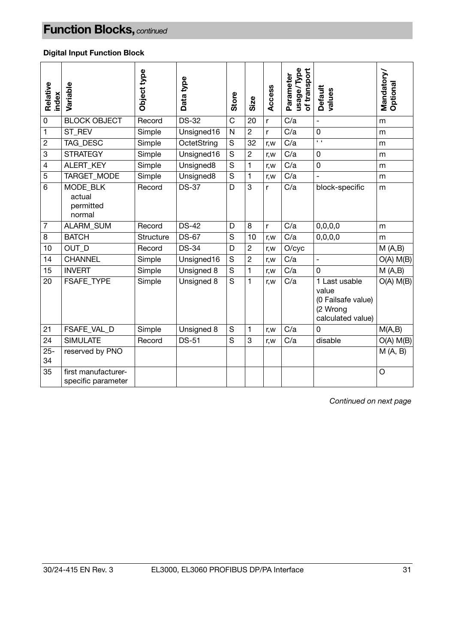### **Digital Input Function Block**

| Relative<br>index | Variable                                  | Object type | Data type    | Store        | Size            | Access | usage/Type<br>of transport<br>Parameter | <b>Default</b><br>values                                                      | Mandatory/<br>Optional |
|-------------------|-------------------------------------------|-------------|--------------|--------------|-----------------|--------|-----------------------------------------|-------------------------------------------------------------------------------|------------------------|
| $\pmb{0}$         | <b>BLOCK OBJECT</b>                       | Record      | <b>DS-32</b> | $\mathsf{C}$ | 20              | r      | $\overline{C/a}$                        | $\overline{a}$                                                                | m                      |
| $\mathbf{1}$      | ST_REV                                    | Simple      | Unsigned16   | N            | $\overline{c}$  | r      | C/a                                     | $\mathsf 0$                                                                   | m                      |
| $\overline{2}$    | TAG_DESC                                  | Simple      | OctetString  | S            | $\overline{32}$ | r, w   | $\overline{C/a}$                        | $\sqrt{6}$                                                                    | m                      |
| $\mathbf{3}$      | <b>STRATEGY</b>                           | Simple      | Unsigned16   | S            | $\overline{c}$  | r, w   | C/a                                     | $\mathbf 0$                                                                   | m                      |
| $\overline{4}$    | ALERT_KEY                                 | Simple      | Unsigned8    | S            | $\mathbf{1}$    | r,w    | C/a                                     | $\mathbf 0$                                                                   | m                      |
| $\overline{5}$    | TARGET_MODE                               | Simple      | Unsigned8    | S            | $\mathbf{1}$    | r, w   | C/a                                     | $\bar{\phantom{a}}$                                                           | m                      |
| $6\phantom{1}6$   | MODE BLK<br>actual<br>permitted<br>normal | Record      | <b>DS-37</b> | D            | $\overline{3}$  | r      | C/a                                     | block-specific                                                                | m                      |
| $\overline{7}$    | ALARM_SUM                                 | Record      | <b>DS-42</b> | D            | 8               | r      | C/a                                     | 0,0,0,0                                                                       | m                      |
| 8                 | <b>BATCH</b>                              | Structure   | <b>DS-67</b> | S            | 10              | r, w   | C/a                                     | 0, 0, 0, 0                                                                    | m                      |
| 10                | OUT D                                     | Record      | <b>DS-34</b> | D            | $\overline{c}$  | r,w    | O/cyc                                   |                                                                               | M(A,B)                 |
| 14                | <b>CHANNEL</b>                            | Simple      | Unsigned16   | S            | $\overline{2}$  | r, w   | C/a                                     | $\overline{\phantom{a}}$                                                      | $O(A)$ M(B)            |
| 15                | <b>INVERT</b>                             | Simple      | Unsigned 8   | S            | $\mathbf{1}$    | r,w    | C/a                                     | $\mathbf 0$                                                                   | M(A,B)                 |
| 20                | <b>FSAFE TYPE</b>                         | Simple      | Unsigned 8   | S            | $\mathbf{1}$    | r, w   | C/a                                     | 1 Last usable<br>value<br>(0 Failsafe value)<br>(2 Wrong<br>calculated value) | $O(A)$ M(B)            |
| 21                | FSAFE_VAL_D                               | Simple      | Unsigned 8   | S            | $\mathbf{1}$    | r, w   | C/a                                     | 0                                                                             | M(A,B)                 |
| 24                | <b>SIMULATE</b>                           | Record      | <b>DS-51</b> | S            | 3               | r, w   | C/a                                     | disable                                                                       | $O(A)$ $M(B)$          |
| $25 -$<br>34      | reserved by PNO                           |             |              |              |                 |        |                                         |                                                                               | M(A, B)                |
| 35                | first manufacturer-<br>specific parameter |             |              |              |                 |        |                                         |                                                                               | O                      |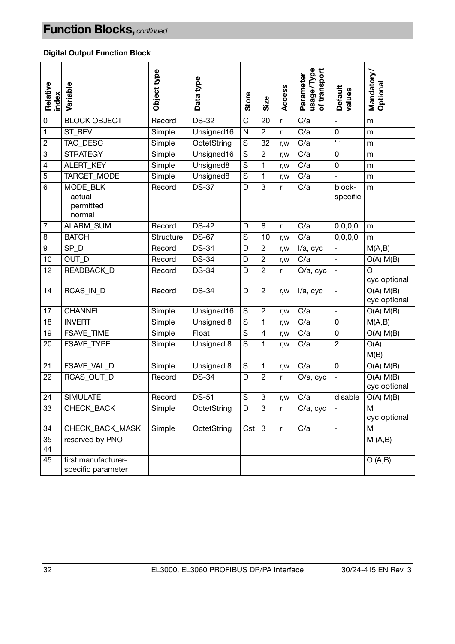### **Digital Output Function Block**

| Relative<br>index         | Variable                                  | Object type | Data type             | Store   | Size           | Access | usage/Type<br>of transport<br>Parameter | <b>Default</b><br>values | Mandatory/<br>Optional        |
|---------------------------|-------------------------------------------|-------------|-----------------------|---------|----------------|--------|-----------------------------------------|--------------------------|-------------------------------|
| 0                         | <b>BLOCK OBJECT</b>                       | Record      | <b>DS-32</b>          | C       | 20             | r      | C/a                                     | $\overline{a}$           | m                             |
| 1                         | ST_REV                                    | Simple      | Unsigned16            | N       | 2              | r      | C/a                                     | 0                        | m                             |
| $\overline{c}$            | TAG_DESC                                  | Simple      | OctetString           | S       | 32             | r,w    | C/a                                     | $\epsilon$               | m                             |
| $\ensuremath{\mathsf{3}}$ | <b>STRATEGY</b>                           | Simple      | Unsigned16            | S       | $\overline{c}$ | r, w   | C/a                                     | 0                        | m                             |
| $\overline{4}$            | ALERT_KEY                                 | Simple      | Unsigned8             | S       | 1              | r, w   | C/a                                     | 0                        | m                             |
| 5                         | TARGET_MODE                               | Simple      | Unsigned <sub>8</sub> | S       | 1              | r, w   | C/a                                     |                          | m                             |
| 6                         | MODE BLK<br>actual<br>permitted<br>normal | Record      | <b>DS-37</b>          | D       | 3              | r      | C/a                                     | block-<br>specific       | m                             |
| $\overline{7}$            | ALARM_SUM                                 | Record      | <b>DS-42</b>          | D       | 8              | r      | C/a                                     | 0,0,0,0                  | m                             |
| 8                         | <b>BATCH</b>                              | Structure   | <b>DS-67</b>          | S       | 10             | r, w   | C/a                                     | 0,0,0,0                  | m                             |
| 9                         | SP_D                                      | Record      | <b>DS-34</b>          | D       | $\overline{c}$ | r, w   | I/a, cyc                                | $\frac{1}{2}$            | M(A,B)                        |
| 10                        | OUT_D                                     | Record      | <b>DS-34</b>          | D       | $\overline{c}$ | r,w    | C/a                                     | $\overline{\phantom{0}}$ | $O(A)$ $M(B)$                 |
| 12                        | <b>READBACK D</b>                         | Record      | <b>DS-34</b>          | D       | $\overline{c}$ | r      | O/a, cyc                                | $\overline{a}$           | O<br>cyc optional             |
| 14                        | RCAS_IN_D                                 | Record      | <b>DS-34</b>          | D       | $\overline{c}$ | r,w    | I/a, cyc                                | $\overline{a}$           | $O(A)$ $M(B)$<br>cyc optional |
| 17                        | <b>CHANNEL</b>                            | Simple      | Unsigned16            | S       | $\overline{c}$ | r,w    | C/a                                     | $\overline{a}$           | $O(A)$ $M(B)$                 |
| 18                        | <b>INVERT</b>                             | Simple      | Unsigned 8            | S       | 1              | r, w   | C/a                                     | $\mathbf 0$              | M(A,B)                        |
| 19                        | FSAVE_TIME                                | Simple      | Float                 | S       | 4              | r, w   | C/a                                     | 0                        | $O(A)$ $M(B)$                 |
| 20                        | FSAVE_TYPE                                | Simple      | Unsigned 8            | S       | 1              | r,w    | C/a                                     | $\overline{2}$           | O(A)<br>M(B)                  |
| 21                        | FSAVE_VAL_D                               | Simple      | Unsigned 8            | S       | 1              | r,w    | C/a                                     | $\mathbf 0$              | $O(A)$ $M(B)$                 |
| 22                        | RCAS_OUT_D                                | Record      | <b>DS-34</b>          | D       | $\overline{c}$ | r      | O/a, cyc                                | $\overline{a}$           | $O(A)$ $M(B)$<br>cyc optional |
| 24                        | <b>SIMULATE</b>                           | Record      | <b>DS-51</b>          | S       | 3              | r, w   | C/a                                     | disable                  | $O(A)$ $M(B)$                 |
| 33                        | CHECK_BACK                                | Simple      | OctetString           | D       | 3              | r      | C/a, cyc                                | $\overline{\phantom{a}}$ | M<br>cyc optional             |
| 34                        | CHECK BACK MASK                           | Simple      | OctetString           | $Cst$ 3 |                | r      | C/a                                     | $\overline{a}$           | M                             |
| $35 -$<br>44              | reserved by PNO                           |             |                       |         |                |        |                                         |                          | M(A,B)                        |
| 45                        | first manufacturer-<br>specific parameter |             |                       |         |                |        |                                         |                          | O(A,B)                        |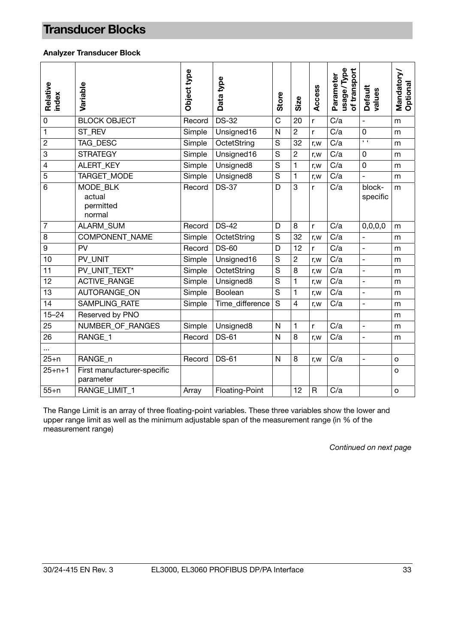### <span id="page-32-0"></span>**Transducer Blocks**

#### **Analyzer Transducer Block**

| Relative<br>index | Variable                                  | Object type | Data type       | Store                 | Size           | Access       | usage/Type<br>of transport<br>Parameter | <b>Default</b><br>values | Mandatory/<br>Optional |
|-------------------|-------------------------------------------|-------------|-----------------|-----------------------|----------------|--------------|-----------------------------------------|--------------------------|------------------------|
| $\mathbf 0$       | <b>BLOCK OBJECT</b>                       | Record      | <b>DS-32</b>    | $\overline{\text{C}}$ | 20             | r            | $\overline{C/a}$                        | $\overline{a}$           | m                      |
| $\mathbf{1}$      | ST_REV                                    | Simple      | Unsigned16      | N                     | $\overline{c}$ | r            | C/a                                     | $\mathbf 0$              | m                      |
| $\overline{c}$    | <b>TAG DESC</b>                           | Simple      | OctetString     | S                     | 32             | r,w          | C/a                                     | $\overline{1}$           | m                      |
| 3                 | <b>STRATEGY</b>                           | Simple      | Unsigned16      | $\overline{S}$        | $\overline{2}$ | r, w         | $\overline{C/a}$                        | $\mathbf 0$              | m                      |
| 4                 | ALERT_KEY                                 | Simple      | Unsigned8       | S                     | 1              | r, w         | C/a                                     | $\pmb{0}$                | m                      |
| 5                 | TARGET_MODE                               | Simple      | Unsigned8       | S                     | $\mathbf{1}$   | r, w         | C/a                                     | $\overline{a}$           | m                      |
| 6                 | MODE BLK<br>actual<br>permitted<br>normal | Record      | <b>DS-37</b>    | D                     | 3              | r            | C/a                                     | block-<br>specific       | m                      |
| $\overline{7}$    | <b>ALARM SUM</b>                          | Record      | <b>DS-42</b>    | D                     | 8              | r            | C/a                                     | 0,0,0,0                  | m                      |
| 8                 | COMPONENT_NAME                            | Simple      | OctetString     | S                     | 32             | r, w         | C/a                                     |                          | m                      |
| $\boldsymbol{9}$  | PV                                        | Record      | <b>DS-60</b>    | D                     | 12             | r            | C/a                                     | $\overline{a}$           | m                      |
| 10                | PV_UNIT                                   | Simple      | Unsigned16      | S                     | $\overline{c}$ | r, w         | C/a                                     | $\bar{\phantom{a}}$      | m                      |
| 11                | PV UNIT TEXT*                             | Simple      | OctetString     | S                     | 8              | r, w         | C/a                                     | $\bar{\phantom{a}}$      | m                      |
| 12                | <b>ACTIVE_RANGE</b>                       | Simple      | Unsigned8       | S                     | 1              | r, w         | C/a                                     | $\overline{a}$           | m                      |
| 13                | AUTORANGE ON                              | Simple      | Boolean         | S                     | 1              | r, w         | C/a                                     | $\overline{a}$           | m                      |
| $\overline{14}$   | <b>SAMPLING RATE</b>                      | Simple      | Time_difference | $\overline{s}$        | $\overline{4}$ | r, w         | C/a                                     | $\overline{a}$           | m                      |
| $15 - 24$         | Reserved by PNO                           |             |                 |                       |                |              |                                         |                          | m                      |
| 25                | NUMBER_OF_RANGES                          | Simple      | Unsigned8       | N                     | 1              | r            | C/a                                     | $\overline{\phantom{0}}$ | m                      |
| 26                | RANGE_1                                   | Record      | <b>DS-61</b>    | N                     | 8              | r, w         | C/a                                     | $\overline{\phantom{a}}$ | m                      |
| $\ddotsc$         |                                           |             |                 |                       |                |              |                                         |                          |                        |
| $25+n$            | RANGE_n                                   | Record      | <b>DS-61</b>    | N                     | 8              | r, w         | C/a                                     | $\frac{1}{2}$            | $\mathsf{o}$           |
| $25 + n + 1$      | First manufacturer-specific<br>parameter  |             |                 |                       |                |              |                                         |                          | $\circ$                |
| $55+n$            | RANGE_LIMIT_1                             | Array       | Floating-Point  |                       | 12             | $\mathsf{R}$ | C/a                                     |                          | $\circ$                |

The Range Limit is an array of three floating-point variables. These three variables show the lower and upper range limit as well as the minimum adjustable span of the measurement range (in % of the measurement range)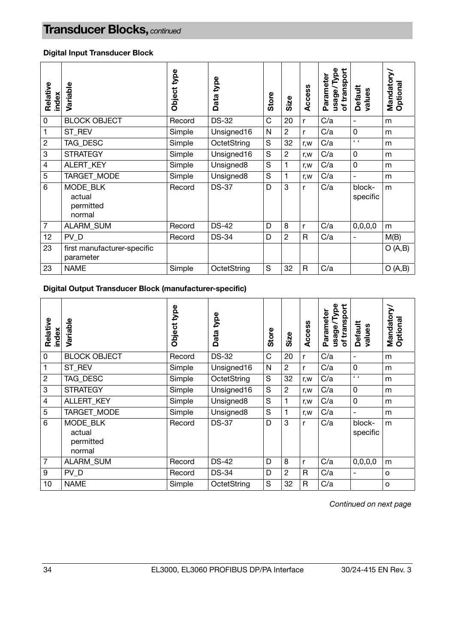#### **Digital Input Transducer Block**

| Relative<br>index | Variable                                  | type<br><b>Object</b> | type<br>Data | Store | Size           | Access | Type<br>of transport<br>Parameter<br>usage/ | Default<br>values        | Mandatory/<br>Optional |
|-------------------|-------------------------------------------|-----------------------|--------------|-------|----------------|--------|---------------------------------------------|--------------------------|------------------------|
| $\pmb{0}$         | <b>BLOCK OBJECT</b>                       | Record                | <b>DS-32</b> | C     | 20             | r      | C/a                                         | $\blacksquare$           | m                      |
| 1                 | ST_REV                                    | Simple                | Unsigned16   | N     | $\overline{c}$ | r      | C/a                                         | 0                        | m                      |
| $\overline{2}$    | TAG DESC                                  | Simple                | OctetString  | S     | 32             | r, w   | C/a                                         | $\epsilon$               | m                      |
| $\,3$             | <b>STRATEGY</b>                           | Simple                | Unsigned16   | S     | $\overline{c}$ | r, w   | C/a                                         | 0                        | m                      |
| $\overline{4}$    | ALERT_KEY                                 | Simple                | Unsigned8    | S     | 1              | r, w   | C/a                                         | 0                        | m                      |
| 5                 | TARGET_MODE                               | Simple                | Unsigned8    | S     |                | r, w   | C/a                                         | $\blacksquare$           | m                      |
| $6\phantom{1}6$   | MODE BLK<br>actual<br>permitted<br>normal | Record                | <b>DS-37</b> | D     | 3              | r      | C/a                                         | block-<br>specific       | m                      |
| $\overline{7}$    | ALARM_SUM                                 | Record                | <b>DS-42</b> | D     | 8              | r      | C/a                                         | 0,0,0,0                  | m                      |
| 12                | PV D                                      | Record                | <b>DS-34</b> | D     | 2              | R.     | C/a                                         | $\overline{\phantom{0}}$ | M(B)                   |
| 23                | first manufacturer-specific<br>parameter  |                       |              |       |                |        |                                             |                          | O(A,B)                 |
| 23                | <b>NAME</b>                               | Simple                | OctetString  | S     | 32             | R      | C/a                                         |                          | O(A,B)                 |

**Digital Output Transducer Block (manufacturer-specific)** 

| Relative<br>index | Variable                                  | bda<br><b>Object</b> | type<br>Data | <b>Store</b> | Size           | Access       | of transport<br>Type<br>Parameter<br>usage/ | Default<br>values        | Mandatory/<br>Optional |
|-------------------|-------------------------------------------|----------------------|--------------|--------------|----------------|--------------|---------------------------------------------|--------------------------|------------------------|
| 0                 | <b>BLOCK OBJECT</b>                       | Record               | <b>DS-32</b> | C            | 20             | r            | C/a                                         | $\overline{\phantom{0}}$ | m                      |
| 1                 | ST REV                                    | Simple               | Unsigned16   | N            | $\overline{c}$ | r            | C/a                                         | $\mathbf 0$              | m                      |
| $\sqrt{2}$        | TAG_DESC                                  | Simple               | OctetString  | S            | 32             | r, w         | C/a                                         | $\epsilon$               | m                      |
| 3                 | <b>STRATEGY</b>                           | Simple               | Unsigned16   | S            | $\overline{2}$ | r, w         | C/a                                         | $\mathbf 0$              | m                      |
| $\overline{4}$    | ALLERT_KEY                                | Simple               | Unsigned8    | S            | 1              | r, w         | C/a                                         | 0                        | m                      |
| 5                 | TARGET_MODE                               | Simple               | Unsigned8    | S            | 1              | r, w         | C/a                                         | $\overline{\phantom{a}}$ | m                      |
| 6                 | MODE BLK<br>actual<br>permitted<br>normal | Record               | <b>DS-37</b> | D            | 3              | r            | C/a                                         | block-<br>specific       | m                      |
| $\overline{7}$    | ALARM_SUM                                 | Record               | <b>DS-42</b> | D            | 8              | r            | C/a                                         | 0,0,0,0                  | m                      |
| 9                 | PV_D                                      | Record               | <b>DS-34</b> | D            | $\overline{2}$ | $\mathsf{R}$ | C/a                                         | $\overline{\phantom{0}}$ | o                      |
| 10                | <b>NAME</b>                               | Simple               | OctetString  | S            | 32             | R            | C/a                                         |                          | O                      |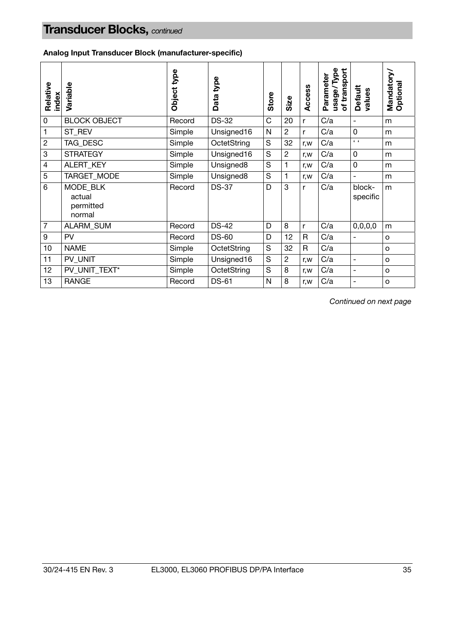**Analog Input Transducer Block (manufacturer-specific)** 

| Relative<br>index | Variable                                  | Object type | type<br>Data          | Store | Size           | Access       | /Type<br>of transport<br>Parameter<br>usage/ | Default<br>values            | Mandatory/<br>Optional |
|-------------------|-------------------------------------------|-------------|-----------------------|-------|----------------|--------------|----------------------------------------------|------------------------------|------------------------|
| $\pmb{0}$         | <b>BLOCK OBJECT</b>                       | Record      | <b>DS-32</b>          | C     | 20             | r            | C/a                                          | $\qquad \qquad \blacksquare$ | m                      |
| 1                 | ST REV                                    | Simple      | Unsigned16            | N     | $\overline{c}$ | r            | C/a                                          | $\mathbf 0$                  | m                      |
| $\overline{c}$    | TAG_DESC                                  | Simple      | OctetString           | S     | 32             | r, w         | C/a                                          | $6 - 6$                      | m                      |
| 3                 | <b>STRATEGY</b>                           | Simple      | Unsigned16            | S     | $\overline{c}$ | r, w         | C/a                                          | $\mathbf 0$                  | m                      |
| $\overline{4}$    | ALERT_KEY                                 | Simple      | Unsigned8             | S     | 1              | r, w         | C/a                                          | $\mathbf 0$                  | m                      |
| 5                 | TARGET_MODE                               | Simple      | Unsigned <sub>8</sub> | S     |                | r, w         | C/a                                          | $\overline{a}$               | m                      |
| $6\phantom{1}6$   | MODE BLK<br>actual<br>permitted<br>normal | Record      | <b>DS-37</b>          | D     | 3              | $\mathsf{r}$ | C/a                                          | block-<br>specific           | m                      |
| $\overline{7}$    | ALARM_SUM                                 | Record      | <b>DS-42</b>          | D     | 8              | r            | C/a                                          | 0,0,0,0                      | m                      |
| 9                 | PV                                        | Record      | <b>DS-60</b>          | D     | 12             | R            | C/a                                          | $\blacksquare$               | o                      |
| 10                | <b>NAME</b>                               | Simple      | OctetString           | S     | 32             | R            | C/a                                          |                              | O                      |
| 11                | PV UNIT                                   | Simple      | Unsigned16            | S     | $\overline{2}$ | r, w         | C/a                                          | $\overline{\phantom{a}}$     | O                      |
| 12                | PV_UNIT_TEXT*                             | Simple      | OctetString           | S     | 8              | r, w         | C/a                                          | -                            | o                      |
| 13                | <b>RANGE</b>                              | Record      | <b>DS-61</b>          | N     | 8              | r,w          | C/a                                          | ۰                            | O                      |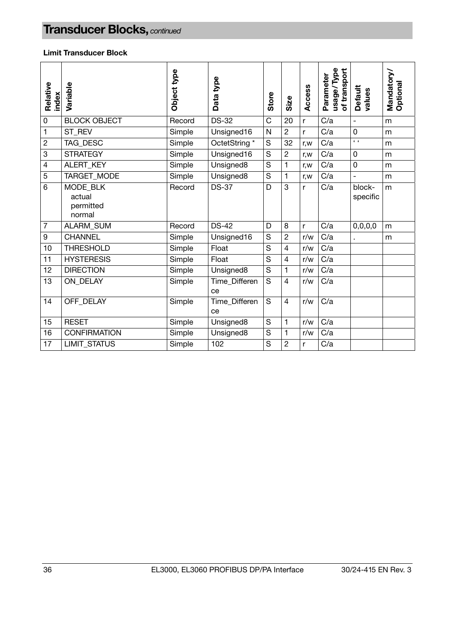#### **Limit Transducer Block**

| Relative<br>index | Variable                                  | Object type | Data type             | Store | Size                     | Access | usage/Type<br>of transport<br>Parameter | Default<br>values        | Mandatory/<br>Optional |
|-------------------|-------------------------------------------|-------------|-----------------------|-------|--------------------------|--------|-----------------------------------------|--------------------------|------------------------|
| $\mathbf 0$       | <b>BLOCK OBJECT</b>                       | Record      | <b>DS-32</b>          | C     | 20                       | r      | C/a                                     | $\overline{\phantom{a}}$ | m                      |
| 1                 | ST_REV                                    | Simple      | Unsigned16            | N     | $\overline{c}$           | r      | C/a                                     | 0                        | m                      |
| $\boldsymbol{2}$  | TAG_DESC                                  | Simple      | OctetString *         | S     | 32                       | r, w   | C/a                                     | $\sqrt{2}$               | m                      |
| $\mathbf{3}$      | <b>STRATEGY</b>                           | Simple      | Unsigned16            | S     | $\overline{2}$           | r,w    | C/a                                     | 0                        | m                      |
| $\overline{4}$    | <b>ALERT KEY</b>                          | Simple      | Unsigned <sub>8</sub> | S     | 1                        | r, w   | C/a                                     | 0                        | m                      |
| 5                 | TARGET_MODE                               | Simple      | Unsigned8             | S     | 1                        | r, w   | C/a                                     | $\overline{a}$           | m                      |
| 6                 | MODE BLK<br>actual<br>permitted<br>normal | Record      | <b>DS-37</b>          | D     | 3                        | r      | C/a                                     | block-<br>specific       | m                      |
| $\overline{7}$    | <b>ALARM SUM</b>                          | Record      | <b>DS-42</b>          | D     | 8                        | r      | C/a                                     | 0,0,0,0                  | m                      |
| 9                 | <b>CHANNEL</b>                            | Simple      | Unsigned16            | S     | $\overline{2}$           | r/w    | C/a                                     |                          | m                      |
| 10                | <b>THRESHOLD</b>                          | Simple      | Float                 | S     | $\overline{\mathcal{L}}$ | r/w    | C/a                                     |                          |                        |
| 11                | <b>HYSTERESIS</b>                         | Simple      | Float                 | S     | $\overline{4}$           | r/w    | C/a                                     |                          |                        |
| 12                | <b>DIRECTION</b>                          | Simple      | Unsigned8             | S     | 1                        | r/w    | C/a                                     |                          |                        |
| 13                | ON DELAY                                  | Simple      | Time_Differen<br>ce   | S     | 4                        | r/w    | C/a                                     |                          |                        |
| 14                | OFF DELAY                                 | Simple      | Time Differen<br>ce   | S     | $\overline{4}$           | r/w    | C/a                                     |                          |                        |
| 15                | <b>RESET</b>                              | Simple      | Unsigned8             | S     | 1                        | r/w    | C/a                                     |                          |                        |
| 16                | <b>CONFIRMATION</b>                       | Simple      | Unsigned8             | S     | 1                        | r/w    | C/a                                     |                          |                        |
| 17                | <b>LIMIT STATUS</b>                       | Simple      | 102                   | S     | $\overline{2}$           | r      | C/a                                     |                          |                        |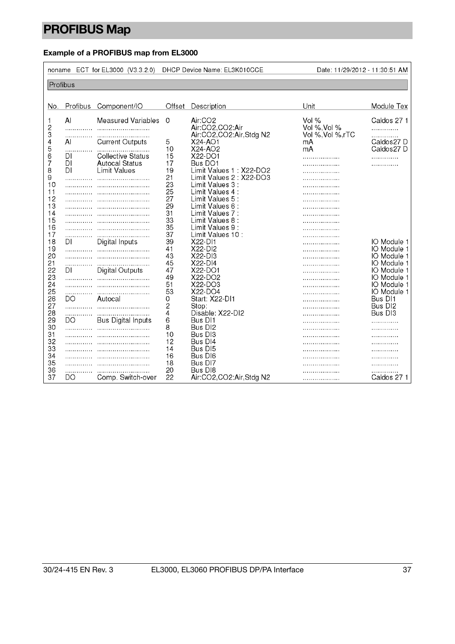# <span id="page-36-0"></span>**PROFIBUS Map**

### **Example of a PROFIBUS map from EL3000**

|                          |                | noname ECT for EL3000 (V3.3.2.0)                                         |                | DHCP Device Name: EL3K010CCE                                      | Date: 11/29/2012 - 11:30:51 AM             |                                           |
|--------------------------|----------------|--------------------------------------------------------------------------|----------------|-------------------------------------------------------------------|--------------------------------------------|-------------------------------------------|
| Profibus                 |                |                                                                          |                |                                                                   |                                            |                                           |
|                          |                |                                                                          |                |                                                                   |                                            |                                           |
| No.                      |                | Profibus Component/IO                                                    |                | Offset Description                                                | Unit                                       | Module Tex                                |
| 1<br>$\overline{c}$<br>3 | $\mathsf{A}$   | <b>Measured Variables</b>                                                | $\Omega$       | Air:CO <sub>2</sub><br>Air:CO2,CO2:Air<br>Air:CO2,CO2:Air,Stdg N2 | Vol %<br>Vol %, Vol %<br>Vol %, Vol %, rTC | Caldos 27 1<br>.<br>.                     |
| 4<br>5                   | AI             | <b>Current Outputs</b>                                                   | 5<br>10        | $X24 - AO1$<br>$X24-AO2$                                          | mA<br>mA                                   | Caldos27 D<br>Caldos27 D                  |
| 6<br>7<br>8              | DI<br>DI<br>DI | <b>Collective Status</b><br><b>Autocal Status</b><br><b>Limit Values</b> | 15<br>17<br>19 | $X22-DO1$<br>Bus DO1<br>Limit Values 1: X22-DO2                   | .<br>.                                     | .<br>.                                    |
| 9<br>10                  |                |                                                                          | 21<br>23       | Limit Values 2: X22-DO3<br>Limit Values 3 :                       | .                                          |                                           |
| 11<br>12                 |                |                                                                          | 25<br>27       | Limit Values 4 :<br>Limit Values 5 :                              |                                            |                                           |
| 13<br>14<br>15           |                |                                                                          | 29<br>31<br>33 | Limit Values 6 :<br>Limit Values 7 :<br>Limit Values 8 :          | .                                          |                                           |
| 16<br>17                 |                |                                                                          | 35<br>37       | Limit Values 9 :<br>Limit Values 10:                              |                                            |                                           |
| 18<br>19                 | DI             | Digital Inputs                                                           | 39<br>41       | X22-D11<br>X22-DI2                                                | .                                          | IO Module 1<br>IO Module 1                |
| 20<br>21<br>22           | DI             | Digital Outputs                                                          | 43<br>45<br>47 | $X22-D13$<br>X22-DI4<br>X22-DO1                                   |                                            | IO Module 1<br>IO Module 1<br>IO Module 1 |
| 23<br>24                 | .              |                                                                          | 49<br>51       | X22-DO2<br>$X22-DO3$                                              |                                            | IO Module 1<br>IO Module 1                |
| 25<br>26                 | .<br>DΟ        | Autocal                                                                  | 53<br>0        | X22-DO4<br>Start: X22-D11                                         |                                            | IO Module 1<br>Bus DI1                    |
| 27<br>28<br>29           | .<br>.<br>DO   | <b>Bus Digital Inputs</b>                                                | 2<br>4<br>6    | Stop:<br>Disable: X22-DI2<br>Bus DI1                              |                                            | Bus DI <sub>2</sub><br>Bus DI3            |
| 30<br>31                 |                |                                                                          | 8<br>10        | Bus DI2<br>Bus DI3                                                |                                            |                                           |
| 32<br>33                 |                |                                                                          | 12<br>14       | Bus DI4<br>Bus DI5                                                |                                            |                                           |
| 34<br>35<br>36           |                |                                                                          | 16<br>18<br>20 | Bus DI6<br>Bus DI7<br>Bus DI8                                     |                                            |                                           |
| 37                       | .<br>DO        | Comp. Switch-over                                                        | 22             | Air:CO2,CO2:Air,Stdg N2                                           | .                                          | Caldos 27 1                               |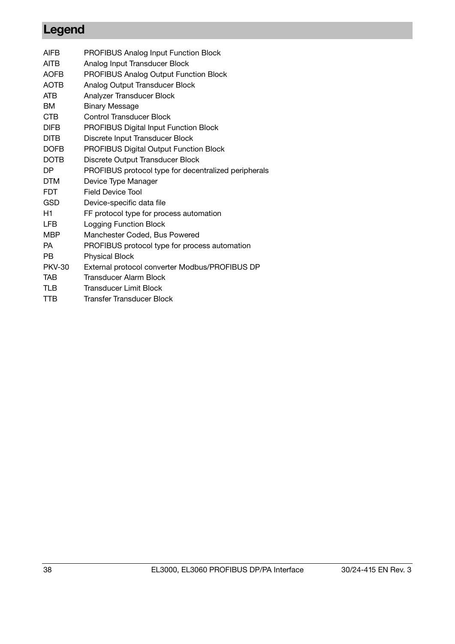## <span id="page-37-0"></span>**Legend**

| <b>AIFB</b>   | <b>PROFIBUS Analog Input Function Block</b>          |
|---------------|------------------------------------------------------|
| AITB          | Analog Input Transducer Block                        |
| <b>AOFB</b>   | <b>PROFIBUS Analog Output Function Block</b>         |
| <b>AOTB</b>   | Analog Output Transducer Block                       |
| ATB           | Analyzer Transducer Block                            |
| BМ            | <b>Binary Message</b>                                |
| <b>CTB</b>    | Control Transducer Block                             |
| <b>DIFB</b>   | <b>PROFIBUS Digital Input Function Block</b>         |
| <b>DITB</b>   | Discrete Input Transducer Block                      |
| <b>DOFB</b>   | PROFIBUS Digital Output Function Block               |
| <b>DOTB</b>   | Discrete Output Transducer Block                     |
| DP            | PROFIBUS protocol type for decentralized peripherals |
| <b>DTM</b>    | Device Type Manager                                  |
| <b>FDT</b>    | <b>Field Device Tool</b>                             |
| GSD           | Device-specific data file                            |
| H1            | FF protocol type for process automation              |
| <b>LFB</b>    | <b>Logging Function Block</b>                        |
| MBP           | Manchester Coded, Bus Powered                        |
| <b>PA</b>     | PROFIBUS protocol type for process automation        |
| PB            | <b>Physical Block</b>                                |
| <b>PKV-30</b> | External protocol converter Modbus/PROFIBUS DP       |
| TAB           | Transducer Alarm Block                               |
| TLB           | Transducer Limit Block                               |
| TTB           | Transfer Transducer Block                            |